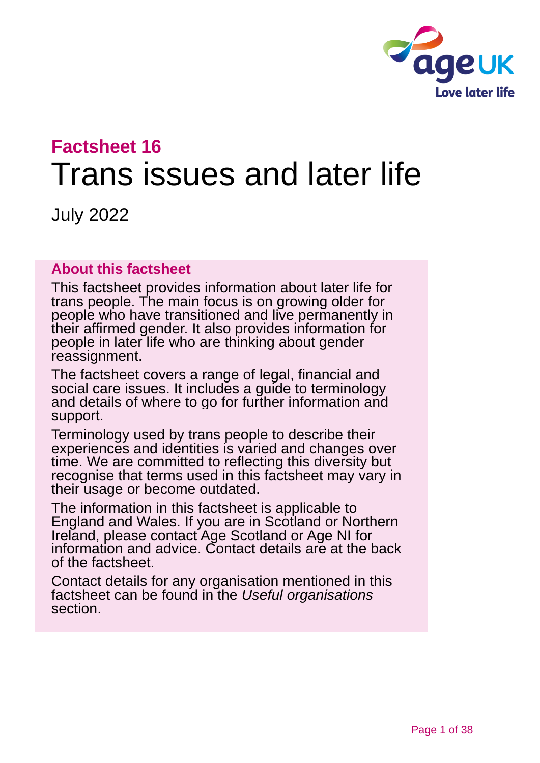

# **Factsheet 16** Trans issues and later life

July 2022

#### **About this factsheet**

This factsheet provides information about later life for trans people. The main focus is on growing older for people who have transitioned and live permanently in their affirmed gender. It also provides information for people in later life who are thinking about gender reassignment.

The factsheet covers a range of legal, financial and social care issues. It includes a guide to terminology and details of where to go for further information and support.

Terminology used by trans people to describe their experiences and identities is varied and changes over time. We are committed to reflecting this diversity but recognise that terms used in this factsheet may vary in their usage or become outdated.

The information in this factsheet is applicable to England and Wales. If you are [in Scotland or Northern](#page-36-0)  [Ireland, please contact](#page-36-0) [Age Scotland or Age NI](#page-36-0) for information and advice. Contact details are at the back of the factsheet.

Contact details for any organisation mentioned in this factsheet can be found in the *[Useful organisations](#page-31-0)* section.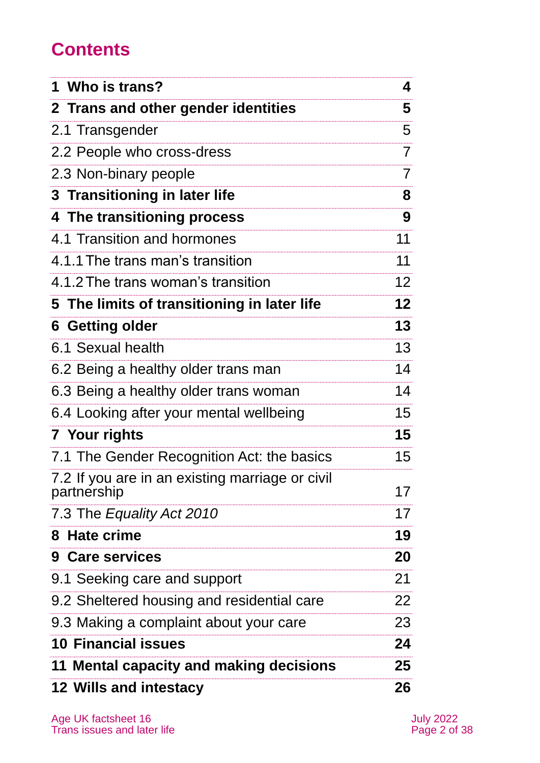# **Contents**

| 1 Who is trans?                                                | 4               |
|----------------------------------------------------------------|-----------------|
| 2 Trans and other gender identities                            | 5               |
| 2.1 Transgender                                                | 5               |
| 2.2 People who cross-dress                                     | $\overline{7}$  |
| 2.3 Non-binary people                                          | $\overline{7}$  |
| 3 Transitioning in later life                                  | 8               |
| 4 The transitioning process                                    | 9               |
| 4.1 Transition and hormones                                    | 11              |
| 4.1.1 The trans man's transition                               | 11              |
| 4.1.2 The trans woman's transition                             | 12 <sub>2</sub> |
| 5 The limits of transitioning in later life                    | 12              |
| <b>6 Getting older</b>                                         | 13              |
| 6.1 Sexual health                                              | 13              |
| 6.2 Being a healthy older trans man                            | 14              |
| 6.3 Being a healthy older trans woman                          | 14              |
| 6.4 Looking after your mental wellbeing                        | 15              |
| <b>7 Your rights</b>                                           | 15              |
| 7.1 The Gender Recognition Act: the basics                     | 15              |
| 7.2 If you are in an existing marriage or civil<br>partnership | 17              |
| 7.3 The Equality Act 2010                                      | 17              |
| 8 Hate crime                                                   | 19              |
| <b>9 Care services</b>                                         | 20              |
| 9.1 Seeking care and support                                   | 21              |
| 9.2 Sheltered housing and residential care                     | 22              |
| 9.3 Making a complaint about your care                         | 23              |
| <b>10 Financial issues</b>                                     | 24              |
| 11 Mental capacity and making decisions                        | 25              |
| 12 Wills and intestacy                                         | 26              |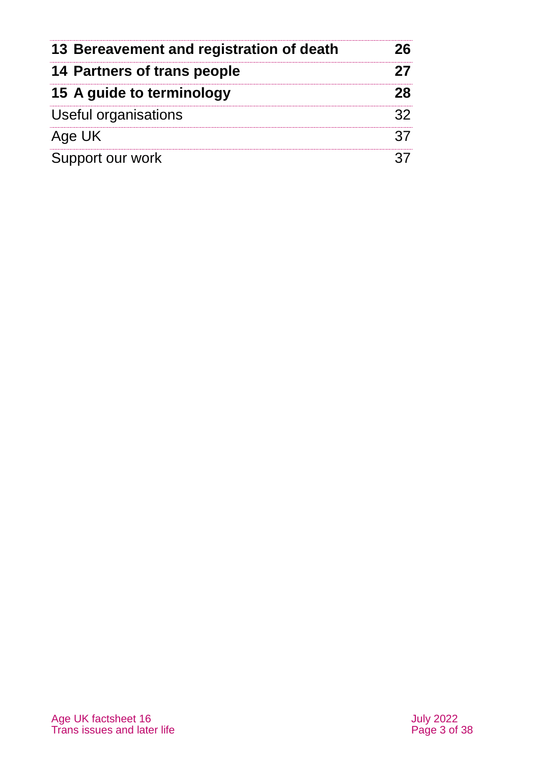| 13 Bereavement and registration of death<br>14 Partners of trans people | 冗 |
|-------------------------------------------------------------------------|---|
|                                                                         |   |
| Useful organisations                                                    |   |
| Age UK                                                                  |   |
| Support our work                                                        |   |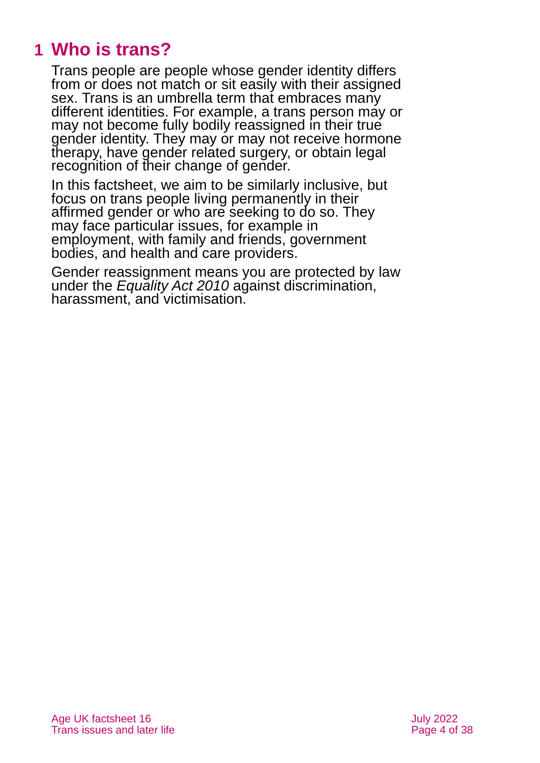### <span id="page-3-0"></span>**1 Who is trans?**

Trans people are people whose gender identity differs from or does not match or sit easily with their assigned sex. Trans is an umbrella term that embraces many different identities. For example, a trans person may or may not become fully bodily reassigned in their true gender identity. They may or may not receive hormone therapy, have gender related surgery, or obtain legal recognition of their change of gender.

In this factsheet, we aim to be similarly inclusive, but focus on trans people living permanently in their affirmed gender or who are seeking to do so. They may face particular issues, for example in employment, with family and friends, government bodies, and health and care providers.

Gender reassignment means you are protected by law under the *Equality Act 2010* against discrimination, harassment, and victimisation.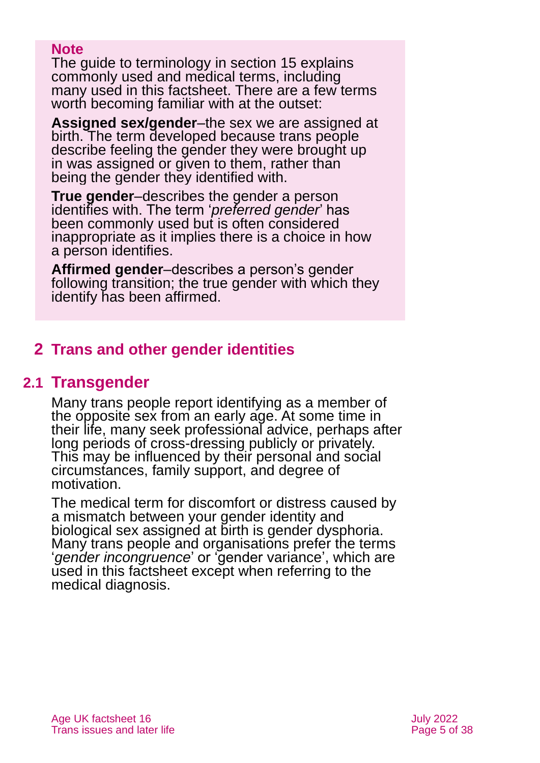#### **Note**

The guide to terminology in [section 15](#page-27-0) explains commonly used and medical terms, including many used in this factsheet. There are a few terms worth becoming familiar with at the outset:

**Assigned sex/gender**–the sex we are assigned at birth. The term developed because trans people describe feeling the gender they were brought up in was assigned or given to them, rather than being the gender they identified with.

**True gender**–describes the gender a person identifies with. The term '*preferred gender*' has been commonly used but is often considered inappropriate as it implies there is a choice in how a person identifies.

**Affirmed gender**–describes a person's gender following transition; the true gender with which they identify has been affirmed.

### <span id="page-4-0"></span>**2 Trans and other gender identities**

### **2.1 Transgender**

Many trans people report identifying as a member of the opposite sex from an early age. At some time in their life, many seek professional advice, perhaps after long periods of cross-dressing publicly or privately. This may be influenced by their personal and social circumstances, family support, and degree of motivation.

The medical term for discomfort or distress caused by a mismatch between your gender identity and biological sex assigned at birth is gender dysphoria. Many trans people and organisations prefer the terms '*gender incongruence*' or 'gender variance', which are used in this factsheet except when referring to the medical diagnosis.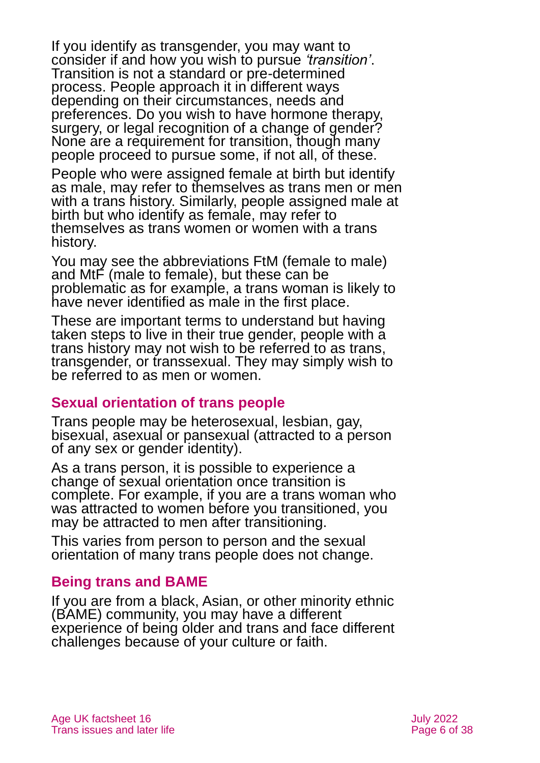If you identify as transgender, you may want to consider if and how you wish to pursue *'transition'*. Transition is not a standard or pre-determined process. People approach it in different ways depending on their circumstances, needs and preferences. Do you wish to have hormone therapy, surgery, or legal recognition of a change of gender? None are a requirement for transition, though many people proceed to pursue some, if not all, of these.

People who were assigned female at birth but identify as male, may refer to themselves as trans men or men with a trans history. Similarly, people assigned male at birth but who identify as female, may refer to themselves as trans women or women with a trans history.

You may see the abbreviations FtM (female to male) and MtF (male to female), but these can be problematic as for example, a trans woman is likely to have never identified as male in the first place.

These are important terms to understand but having taken steps to live in their true gender, people with a trans history may not wish to be referred to as trans, transgender, or transsexual. They may simply wish to be referred to as men or women.

#### **Sexual orientation of trans people**

Trans people may be heterosexual, lesbian, gay, bisexual, asexual or pansexual (attracted to a person of any sex or gender identity).

As a trans person, it is possible to experience a change of sexual orientation once transition is complete. For example, if you are a trans woman who was attracted to women before you transitioned, you may be attracted to men after transitioning.

This varies from person to person and the sexual orientation of many trans people does not change.

#### **Being trans and BAME**

If you are from a black, Asian, or other minority ethnic (BAME) community, you may have a different experience of being older and trans and face different challenges because of your culture or faith.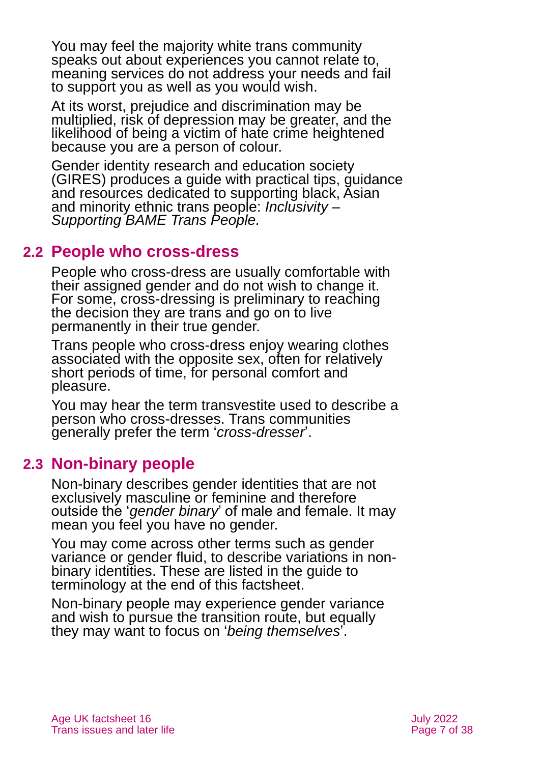You may feel the majority white trans community speaks out about experiences you cannot relate to, meaning services do not address your needs and fail to support you as well as you would wish.

At its worst, prejudice and discrimination may be multiplied, risk of depression may be greater, and the likelihood of being a victim of hate crime heightened because you are a person of colour.

Gender identity research and education society [\(GIRES\)](http://www.gires.org.uk/inclusivity-supporting-bame-trans-people) produces a guide with practical tips, guidance and resources dedicated to supporting black, Asian and minority ethnic trans people: *[Inclusivity –](https://www.gires.org.uk/inclusivity-supporting-bame-trans-people/) [Supporting BAME Trans People.](https://www.gires.org.uk/inclusivity-supporting-bame-trans-people/)*

#### **2.2 People who cross-dress**

People who cross-dress are usually comfortable with their assigned gender and do not wish to change it. For some, cross-dressing is preliminary to reaching the decision they are trans and go on to live permanently in their true gender.

Trans people who cross-dress enjoy wearing clothes associated with the opposite sex, often for relatively short periods of time, for personal comfort and pleasure.

You may hear the term transvestite used to describe a person who cross-dresses. Trans communities generally prefer the term '*cross-dresser*'.

#### **2.3 Non-binary people**

Non-binary describes gender identities that are not exclusively masculine or feminine and therefore outside the '*gender binary*' of male and female. It may mean you feel you have no gender.

You may come across other terms such as gender variance or gender fluid, to describe variations in nonbinary identities. These are listed in the guide to [terminology](#page-27-0) at the end of this factsheet.

Non-binary people may experience gender variance and wish to pursue the [transition](http://nonbinary.org/wiki/Transition) route, but equally they may want to focus on '*being themselves*'.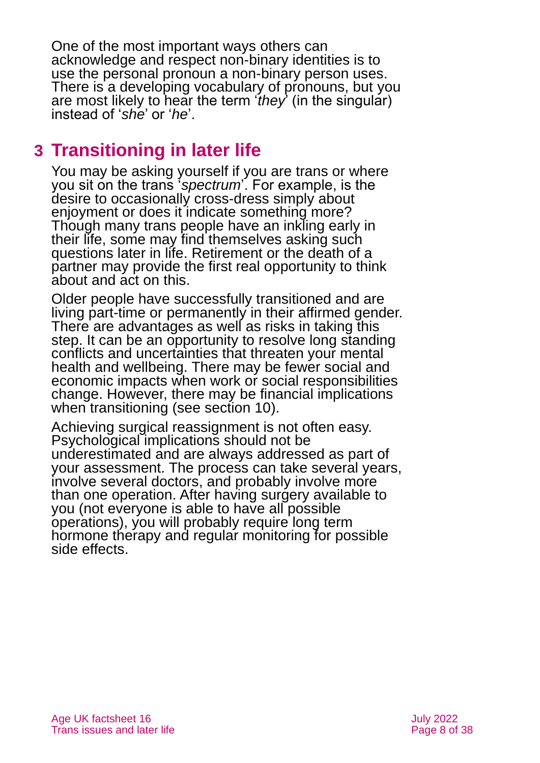One of the most important ways others can acknowledge and respect non-binary identities is to use the personal pronoun a non-binary person uses. There is a developing vocabulary of pronouns, but you are most likely to hear the term '*they*' (in the singular) instead of '*she*' or '*he*'.

### <span id="page-7-0"></span>**3 Transitioning in later life**

You may be asking yourself if you are trans or where you sit on the trans '*spectrum*'. For example, is the desire to occasionally cross-dress simply about enjoyment or does it indicate something more? Though many trans people have an inkling early in their life, some may find themselves asking such questions later in life. Retirement or the death of a partner may provide the first real opportunity to think about and act on this.

Older people have successfully transitioned and are living part-time or permanently in their affirmed gender. There are advantages as well as risks in taking this step. It can be an opportunity to resolve long standing conflicts and uncertainties that threaten your mental health and wellbeing. There may be fewer social and economic impacts when work or social responsibilities change. However, there may be financial implications when transitioning (see [section 10\)](#page-23-0).

Achieving surgical reassignment is not often easy. Psychological implications should not be underestimated and are always addressed as part of your assessment. The process can take several years, involve several doctors, and probably involve more than one operation. After having surgery available to you (not everyone is able to have all possible operations), you will probably require long term hormone therapy and regular monitoring for possible side effects.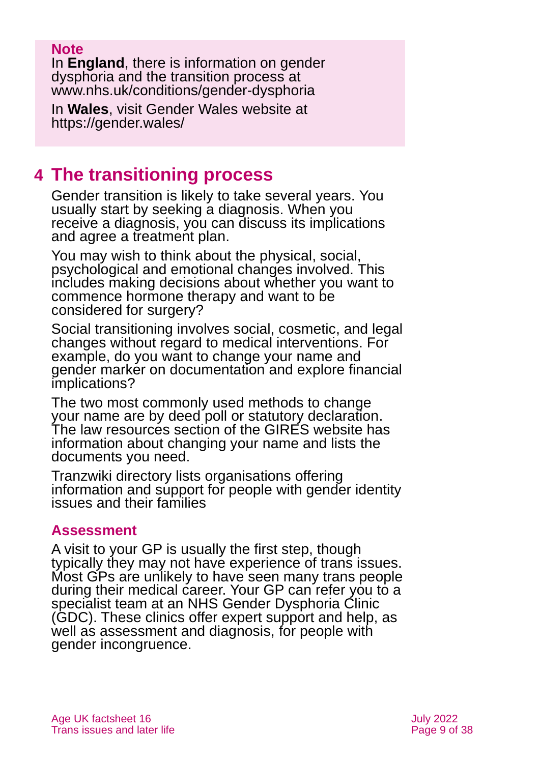#### **Note**

In **England**, there is information on gender dysphoria and the transition process at [www.nhs.uk/conditions/gender-dysphoria](http://www.nhs.uk/conditions/gender-dysphoria)

In **Wales**, visit [Gender Wales](https://gender.wales/) website at <https://gender.wales/>

### <span id="page-8-0"></span>**4 The transitioning process**

Gender transition is likely to take several years. You usually start by seeking a diagnosis. When you receive a diagnosis, you can discuss its implications and agree a treatment plan.

You may wish to think about the physical, social, psychological and emotional changes involved. This includes making decisions about whether you want to commence hormone therapy and want to be considered for surgery?

Social transitioning involves social, cosmetic, and legal changes without regard to medical interventions. For example, do you want to change your name and gender marker on documentation and explore financial implications?

The two most commonly used methods to change your name are by [deed poll](https://www.gov.uk/change-name-deed-poll) or [statutory declaration.](https://www.gov.uk/government/publications/statutory-declarations) The law resources section of the [GIRES website](https://www.gires.org.uk/category/law/) has information about changing your name and lists the documents you need.

[Tranzwiki](https://www.tranzwiki.net/) directory lists organisations offering information and support for people with gender identity issues and their families

#### **Assessment**

A visit to your GP is usually the first step, though typically they may not have experience of trans issues. Most GPs are unlikely to have seen many trans people during their medical career. Your GP can refer you to a specialist team at an [NHS Gender Dysphoria Clinic](https://www.nhs.uk/nhs-services/how-to-find-an-nhs-gender-identity-clinic/)  [\(GDC\).](https://www.nhs.uk/nhs-services/how-to-find-an-nhs-gender-identity-clinic/) These clinics offer expert support and help, as well as assessment and diagnosis, for people with gender incongruence.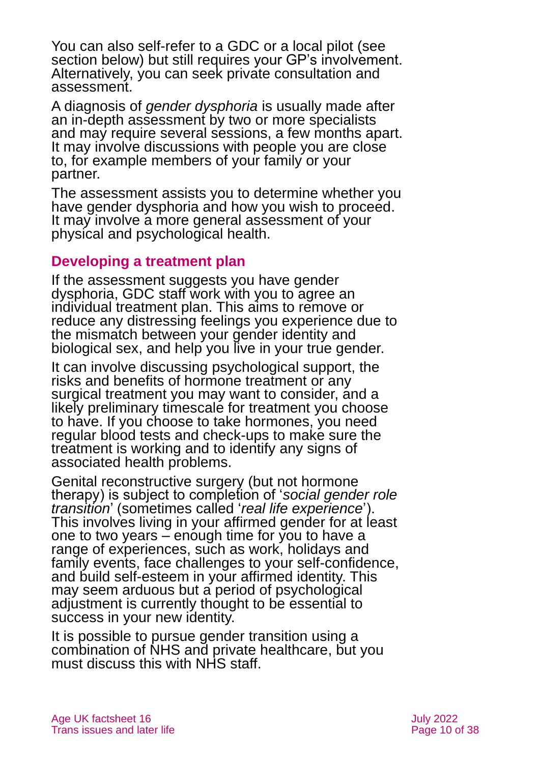You can also self-refer to a GDC or a local pilot (see section below) but still requires your GP's involvement. Alternatively, you can seek private consultation and assessment.

A diagnosis of *gender dysphoria* is usually made after an in-depth assessment by two or more specialists and may require several sessions, a few months apart. It may involve discussions with people you are close to, for example members of your family or your partner.

The assessment assists you to determine whether you have gender dysphoria and how you wish to proceed. It may involve a more general assessment of your physical and psychological health.

#### **Developing a treatment plan**

If the assessment suggests you have gender dysphoria, GDC staff work with you to agree an individual treatment plan. This aims to remove or reduce any distressing feelings you experience due to the mismatch between your gender identity and biological sex, and help you live in your true gender.

It can involve discussing psychological support, the risks and benefits of hormone treatment or any surgical treatment you may want to consider, and a likely preliminary timescale for treatment you choose to have. If you choose to take hormones, you need regular blood tests and check-ups to make sure the treatment is working and to identify any signs of associated health problems.

Genital reconstructive surgery (but not hormone therapy) is subject to completion of '*social gender role transition*' (sometimes called '*real life experience*'). This involves living in your affirmed gender for at least one to two years – enough time for you to have a range of experiences, such as work, holidays and family events, face challenges to your self-confidence, and build self-esteem in your affirmed identity. This may seem arduous but a period of psychological adjustment is currently thought to be essential to success in your new identity.

It is possible to pursue gender transition using a combination of NHS and private healthcare, but you must discuss this with NHS staff.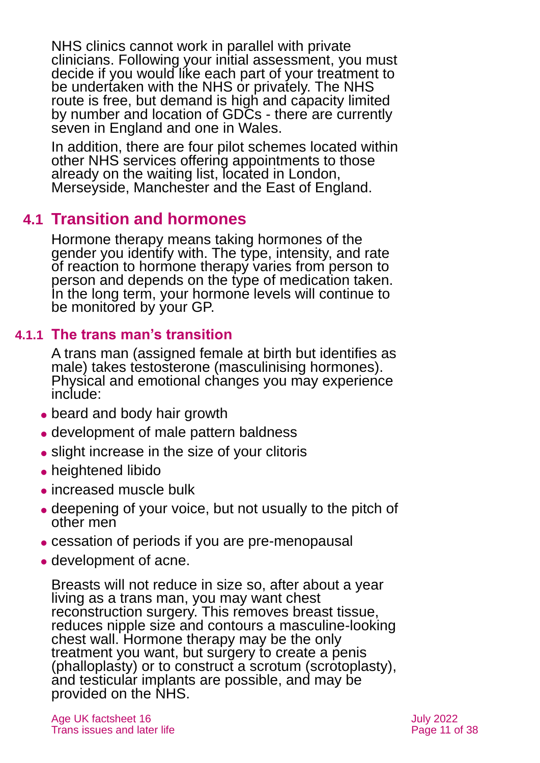NHS clinics cannot work in parallel with private clinicians. Following your initial assessment, you must decide if you would like each part of your treatment to be undertaken with the NHS or privately. The NHS route is free, but demand is high and capacity limited by number and location of [GDCs](https://www.nhs.uk/live-well/healthy-body/how-to-find-an-nhs-gender-identity-clinic/) - there are currently seven in England and one in Wales.

In addition, there are four pilot schemes located within other NHS services offering appointments to those already on the waiting list, located in London, Merseyside, Manchester and the East of England.

#### **4.1 Transition and hormones**

Hormone therapy means taking hormones of the gender you identify with. The type, intensity, and rate of reaction to hormone therapy varies from person to person and depends on the type of medication taken. In the long term, your hormone levels will continue to be monitored by your GP.

#### **4.1.1 The trans man's transition**

A trans man (assigned female at birth but identifies as male) takes testosterone (masculinising hormones). Physical and emotional changes you may experience include:

- beard and body hair growth
- ⚫ development of male pattern baldness
- slight increase in the size of your clitoris
- ⚫ heightened libido
- ⚫ increased muscle bulk
- ⚫ deepening of your voice, but not usually to the pitch of other men
- ⚫ cessation of periods if you are pre-menopausal
- ⚫ development of acne.

Breasts will not reduce in size so, after about a year living as a trans man, you may want chest reconstruction surgery. This removes breast tissue, reduces nipple size and contours a masculine-looking chest wall. Hormone therapy may be the only treatment you want, but surgery to create a penis (phalloplasty) or to construct a scrotum (scrotoplasty), and testicular implants are possible, and may be provided on the NHS.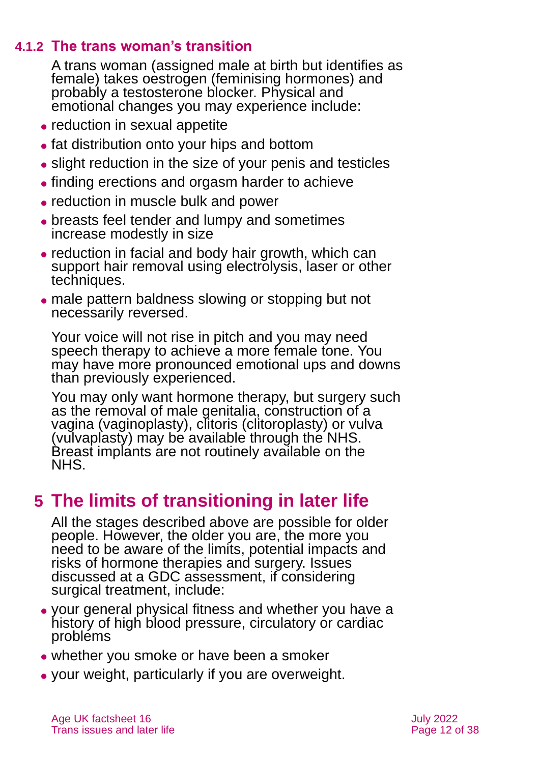#### **4.1.2 The trans woman's transition**

A trans woman (assigned male at birth but identifies as female) takes oestrogen (feminising hormones) and probably a testosterone blocker. Physical and emotional changes you may experience include:

- reduction in sexual appetite
- fat distribution onto your hips and bottom
- ⚫ slight reduction in the size of your penis and testicles
- ⚫ finding erections and orgasm harder to achieve
- ⚫ reduction in muscle bulk and power
- ⚫ breasts feel tender and lumpy and sometimes increase modestly in size
- ⚫ reduction in facial and body hair growth, which can support hair removal using electrolysis, laser or other techniques.
- male pattern baldness slowing or stopping but not necessarily reversed.

Your voice will not rise in pitch and you may need speech therapy to achieve a more female tone. You may have more pronounced emotional ups and downs than previously experienced.

You may only want hormone therapy, but surgery such as the removal of male genitalia, construction of a vagina (vaginoplasty), clitoris (clitoroplasty) or vulva (vulvaplasty) may be available through the NHS. Breast implants are not routinely available on the NHS.

### <span id="page-11-0"></span>**5 The limits of transitioning in later life**

All the stages described above are possible for older people. However, the older you are, the more you need to be aware of the limits, potential impacts and risks of hormone therapies and surgery. Issues discussed at a GDC assessment, if considering surgical treatment, include:

- ⚫ your general physical fitness and whether you have a history of high blood pressure, circulatory or cardiac problems
- whether you smoke or have been a smoker
- ⚫ your weight, particularly if you are overweight.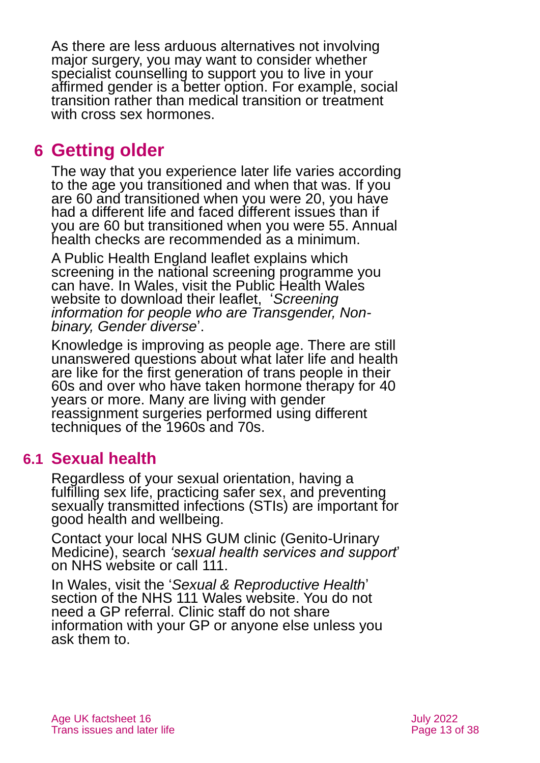As there are less arduous alternatives not involving major surgery, you may want to consider whether specialist counselling to support you to live in your affirmed gender is a better option. For example, social transition rather than medical transition or treatment with cross sex hormones.

### <span id="page-12-0"></span>**6 Getting older**

The way that you experience later life varies according to the age you transitioned and when that was. If you are 60 and transitioned when you were 20, you have had a different life and faced different issues than if you are 60 but transitioned when you were 55. Annual health checks are recommended as a minimum.

A [Public Health England leaflet](https://www.gov.uk/government/publications/nhs-population-screening-information-for-transgender-people#history) explains which screening in the national screening programme you can have. In Wales, visit the Public Health Wales website to download their leaflet, '*[Screening](https://phw.nhs.wales/services-and-teams/screening/breast-screening/breast-screening-public-information/information-for-people-who-are-transgender-or-non-binary/screening-information-for-people-who-are-transgender-non-binary-gender-diverse/)  information for people who are [Transgender, Non](https://phw.nhs.wales/services-and-teams/screening/breast-screening/breast-screening-public-information/information-for-people-who-are-transgender-or-non-binary/screening-information-for-people-who-are-transgender-non-binary-gender-diverse/)[binary, Gender diverse](https://phw.nhs.wales/services-and-teams/screening/breast-screening/breast-screening-public-information/information-for-people-who-are-transgender-or-non-binary/screening-information-for-people-who-are-transgender-non-binary-gender-diverse/)*'.

Knowledge is improving as people age. There are still unanswered questions about what later life and health are like for the first generation of trans people in their 60s and over who have taken hormone therapy for 40 years or more. Many are living with gender reassignment surgeries performed using different techniques of the 1960s and 70s.

#### **6.1 Sexual health**

Regardless of your sexual orientation, having a fulfilling sex life, practicing safer sex, and preventing sexually transmitted infections (STIs) are important for good health and wellbeing.

Contact your local NHS GUM clinic (Genito-Urinary Medicine), search *['sexual health services and support](https://www.nhs.uk/Service-Search/Sexual-health-information-and-support/LocationSearch/734)*' [on NHS website](https://www.nhs.uk/Service-Search/Sexual-health-information-and-support/LocationSearch/734) or call 111.

In Wales, visit the '*[Sexual & Reproductive Health](https://111.wales.nhs.uk/localservices/?s=SexualHealth&pc=n&sort=default)*' [section of the NHS 111 Wales website.](https://111.wales.nhs.uk/localservices/?s=SexualHealth&pc=n&sort=default) You do not need a GP referral. Clinic staff do not share information with your GP or anyone else unless you ask them to.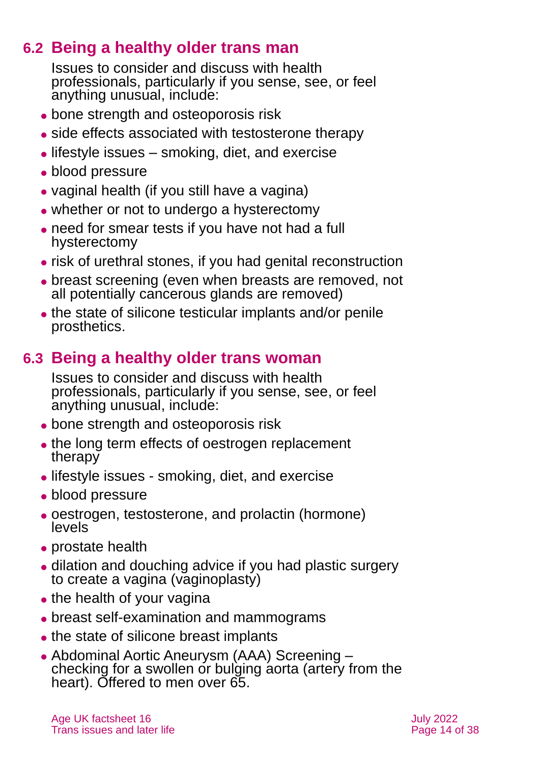### **6.2 Being a healthy older trans man**

Issues to consider and discuss with health professionals, particularly if you sense, see, or feel anything unusual, include:

- ⚫ bone strength and osteoporosis risk
- side effects associated with testosterone therapy
- ⚫ lifestyle issues smoking, diet, and exercise
- ⚫ blood pressure
- ⚫ vaginal health (if you still have a vagina)
- ⚫ whether or not to undergo a hysterectomy
- ⚫ need for smear tests if you have not had a full hysterectomy
- ⚫ risk of urethral stones, if you had genital reconstruction
- ⚫ breast screening (even when breasts are removed, not all potentially cancerous glands are removed)
- ⚫ the state of silicone testicular implants and/or penile prosthetics.

### **6.3 Being a healthy older trans woman**

Issues to consider and discuss with health professionals, particularly if you sense, see, or feel anything unusual, include:

- ⚫ bone strength and osteoporosis risk
- ⚫ the long term effects of oestrogen replacement therapy
- ⚫ lifestyle issues smoking, diet, and exercise
- ⚫ blood pressure
- ⚫ oestrogen, testosterone, and prolactin (hormone) levels
- prostate health
- ⚫ dilation and douching advice if you had plastic surgery to create a vagina (vaginoplasty)
- the health of your vagina
- ⚫ breast self-examination and mammograms
- the state of silicone breast implants
- ⚫ Abdominal Aortic Aneurysm (AAA) Screening checking for a swollen or bulging aorta (artery from the heart). Offered to men over 65.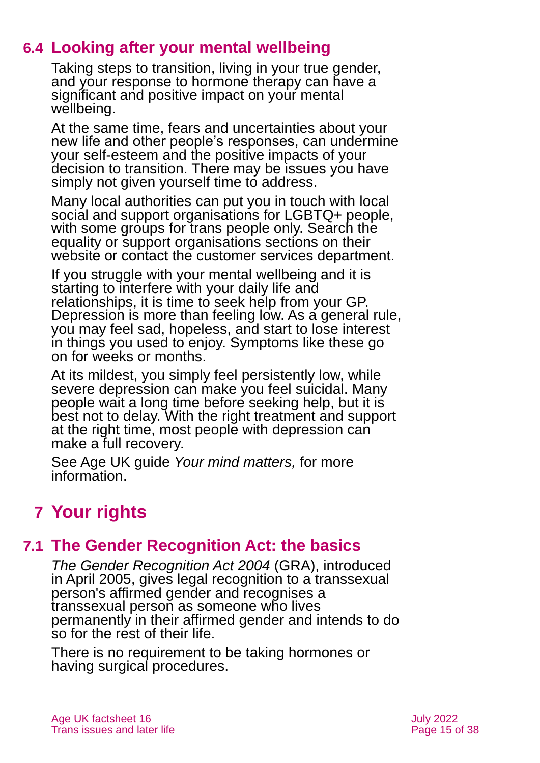### **6.4 Looking after your mental wellbeing**

Taking steps to transition, living in your true gender, and your response to hormone therapy can have a significant and positive impact on your mental wellbeing.

At the same time, fears and uncertainties about your new life and other people's responses, can undermine your self-esteem and the positive impacts of your decision to transition. There may be issues you have simply not given yourself time to address.

Many local authorities can put you in touch with local social and support organisations for LGBTQ+ people, with some groups for trans people only. Search the equality or support organisations sections on their website or contact the customer services department.

If you struggle with your mental wellbeing and it is starting to interfere with your daily life and relationships, it is time to seek help from your GP. [Depression](http://www.nhs.uk/Conditions/Depression/Pages/Symptoms.aspx) is more than feeling low. As a general rule, you may feel sad, hopeless, and start to lose interest in things you used to enjoy. Symptoms like these go on for weeks or months.

At its mildest, you simply feel persistently low, while severe depression can make you feel suicidal. Many people wait a long time before seeking help, but it is best not to delay. With the right treatment and support at the right time, most people with depression can make a full recovery.

See Age UK guide *[Your mind matters,](https://www.ageuk.org.uk/globalassets/age-uk/documents/information-guides/ageukig56_your_mind_matters_inf.pdf)* for more information.

# <span id="page-14-0"></span>**7 Your rights**

### **7.1 The Gender Recognition Act: the basics**

*The [Gender Recognition Act 2004](https://www.legislation.gov.uk/ukpga/2004/7/contents)* (GRA), introduced in April 2005, gives legal recognition to a transsexual person's affirmed gender and recognises a transsexual person as someone who lives permanently in their affirmed gender and intends to do so for the rest of their life.

There is no requirement to be taking hormones or having surgical procedures.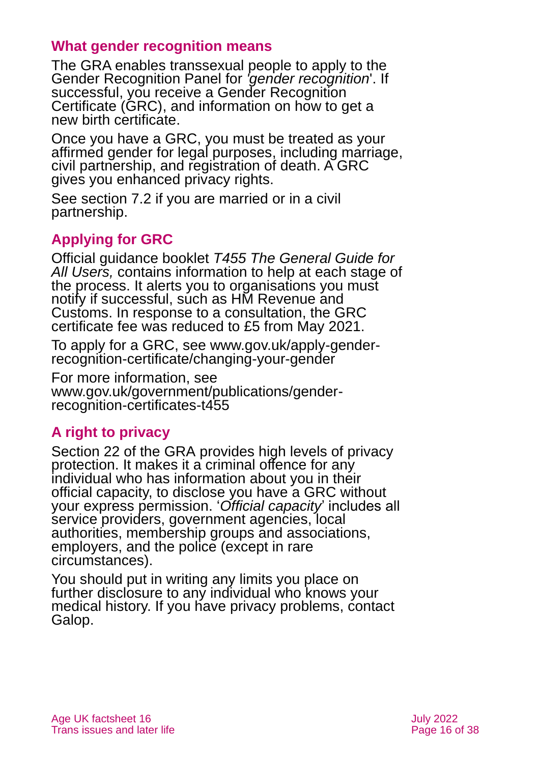#### **What gender recognition means**

The GRA enables transsexual people to apply to the Gender Recognition Panel for *'gender recognition*'. If successful, you receive a Gender Recognition Certificate (GRC), and information on how to get a new birth certificate.

Once you have a GRC, you must be treated as your affirmed gender for legal purposes, including marriage, civil partnership, and registration of death. A GRC gives you enhanced privacy rights.

See [section 7.2](#page-16-0) if you are married or in a civil partnership.

#### **Applying for GRC**

Official guidance booklet *T455 [The General Guide for](https://www.gov.uk/government/publications/gender-recognition-certificates-t455)  [All Users,](https://www.gov.uk/government/publications/gender-recognition-certificates-t455)* contains information to help at each stage of the process. It alerts you to organisations you must notify if successful, such as HM Revenue and Customs. In response to a [consultation,](https://researchbriefings.files.parliament.uk/documents/CBP-9079/CBP-9079.pdf) the GRC certificate fee was reduced to £5 from May 2021.

To apply for a GRC, see [www.gov.uk/apply-gender](http://www.gov.uk/apply-gender-recognition-certificate/changing-your-gender)[recognition-certificate/changing-your-gender](http://www.gov.uk/apply-gender-recognition-certificate/changing-your-gender)

For more information, see [www.gov.uk/government/publications/gender](http://www.gov.uk/government/publications/gender-recognition-certificates-t455)[recognition-certificates-t455](http://www.gov.uk/government/publications/gender-recognition-certificates-t455)

#### **A right to privacy**

Section 22 of the GRA provides high levels of privacy protection. It makes it a criminal offence for any individual who has information about you in their official capacity, to disclose you have a GRC without your express permission. '*Official capacity*' includes all service providers, government agencies, local authorities, membership groups and associations, employers, and the police (except in rare circumstances).

You should put in writing any limits you place on further disclosure to any individual who knows your medical history. If you have privacy problems, contact [Galop.](http://www.galop.org.uk/)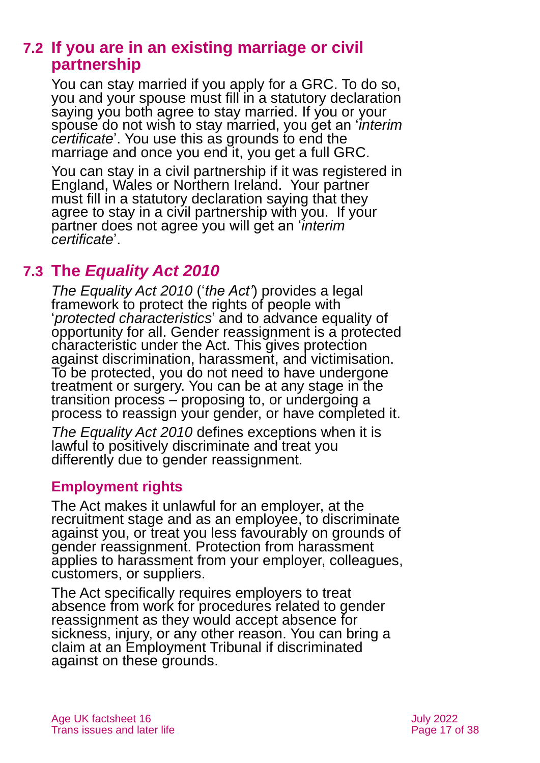#### <span id="page-16-0"></span>**7.2 If you are in an existing marriage or civil partnership**

You can stay married if you apply for a GRC. To do so, you and your spouse must fill in a statutory declaration saying you both agree to stay married. If you or your spouse do not wish to stay married, you get an '*interim certificate*'. You use this as grounds to end the marriage and once you end it, you get a full GRC.

You can stay in a civil partnership if it was registered in England, Wales or Northern Ireland. Your partner must fill in a statutory declaration saying that they agree to stay in a civil partnership with you. If your partner does not agree you will get an '*interim certificate*'.

#### **7.3 The** *Equality Act 2010*

*The Equality Act 2010* ('*the Act'*) provides a legal framework to protect the rights of people with '*protected characteristics*' and to advance equality of opportunity for all. Gender reassignment is a protected characteristic under the Act. This gives protection against discrimination, harassment, and victimisation. To be protected, you do not need to have undergone treatment or surgery. You can be at any stage in the transition process – proposing to, or undergoing a process to reassign your gender, or have completed it.

*The Equality Act 2010* defines exceptions when it is [lawful to positively discriminate and treat you](https://www.equalityhumanrights.com/en/advice-and-guidance/gender-reassignment-discrimination)  [differently due to gender reassignm](https://www.equalityhumanrights.com/en/advice-and-guidance/gender-reassignment-discrimination)ent.

#### **Employment rights**

The Act makes it unlawful for an employer, at the recruitment stage and as an employee, to discriminate against you, or treat you less favourably on grounds of gender reassignment. Protection from harassment applies to harassment from your employer, colleagues, customers, or suppliers.

The Act specifically requires employers to treat absence from work for procedures related to gender reassignment as they would accept absence for sickness, injury, or any other reason. You can bring a claim at an Employment Tribunal if discriminated against on these grounds.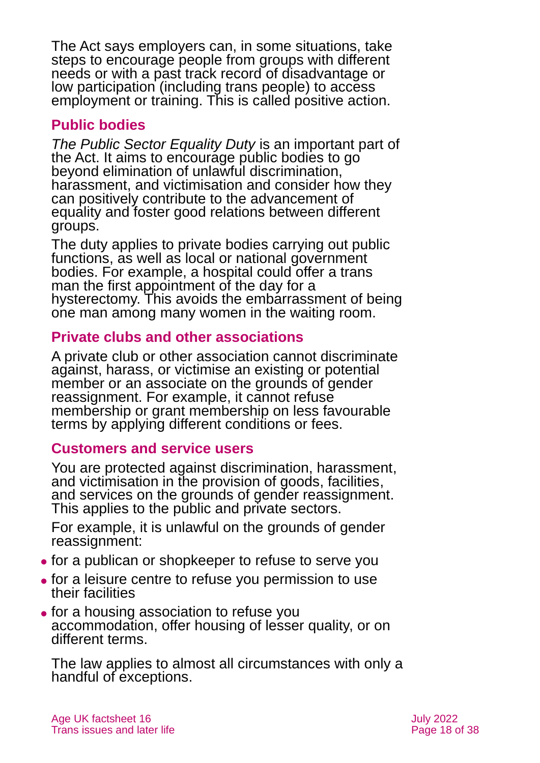The Act says employers can, in some situations, take steps to encourage people from groups with different needs or with a past track record of disadvantage or low participation (including trans people) to access employment or training. This is called positive action.

#### **Public bodies**

*The Public Sector Equality Duty* is an important part of the Act. It aims to encourage public bodies to go beyond elimination of unlawful discrimination, harassment, and victimisation and consider how they can positively contribute to the advancement of equality and foster good relations between different groups.

The duty applies to private bodies carrying out public functions, as well as local or national government bodies. For example, a hospital could offer a trans man the first appointment of the day for a hysterectomy. This avoids the embarrassment of being one man among many women in the waiting room.

#### **Private clubs and other associations**

A private club or other association cannot discriminate against, harass, or victimise an existing or potential member or an associate on the grounds of gender reassignment. For example, it cannot refuse membership or grant membership on less favourable terms by applying different conditions or fees.

#### **Customers and service users**

You are protected against discrimination, harassment, and victimisation in the provision of goods, facilities, and services on the grounds of gender reassignment. This applies to the public and private sectors.

For example, it is unlawful on the grounds of gender reassignment:

- ⚫ for a publican or shopkeeper to refuse to serve you
- ⚫ for a leisure centre to refuse you permission to use their facilities
- ⚫ for a housing association to refuse you accommodation, offer housing of lesser quality, or on different terms.

The law applies to almost all circumstances with only a handful of exceptions.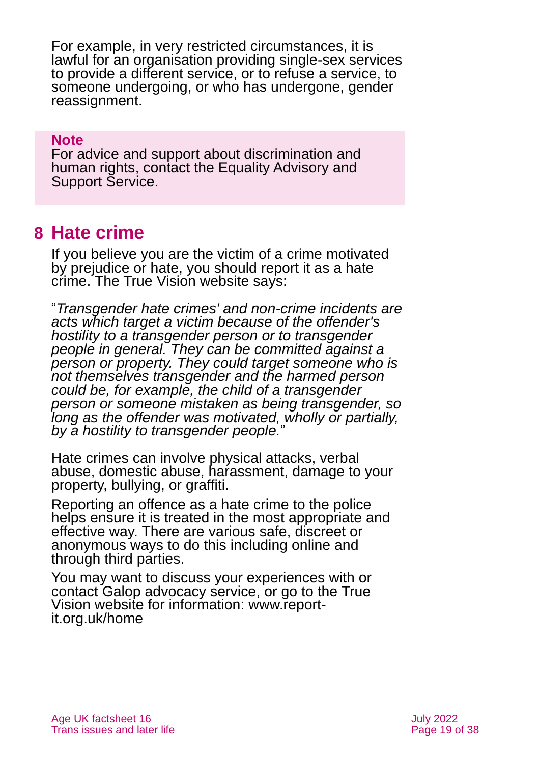For example, in very restricted circumstances, it is lawful for an organisation providing single-sex services to provide a different service, or to refuse a service, to someone undergoing, or who has undergone, gender reassignment.

#### **Note**

For advice and support about discrimination and human rights, contact the [Equality Advisory and](http://www.equalityadvisoryservice.com/)  [Support Service.](http://www.equalityadvisoryservice.com/)

### <span id="page-18-0"></span>**8 Hate crime**

If you believe you are the victim of a crime motivated by prejudice or hate, you should report it as a hate crime. The True Vision website says:

"*Transgender hate crimes' and non-crime incidents are acts which target a victim because of the offender's hostility to a transgender person or to transgender people in general. They can be committed against a person or property. They could target someone who is not themselves transgender and the harmed person could be, for example, the child of a transgender person or someone mistaken as being transgender, so long as the offender was motivated, wholly or partially, by a hostility to transgender people.*"

Hate crimes can involve physical attacks, verbal abuse, domestic abuse, harassment, damage to your property, bullying, or graffiti.

Reporting an offence as a hate crime to the police helps ensure it is treated in the most appropriate and effective way. There are various safe, discreet or anonymous ways to do this including online and through third parties.

You may want to discuss your experiences with or contact [Galop](http://www.galop.org.uk/) advocacy service, or go to the True Vision website for information: [www.report](http://www.report-it.org.uk/home)[it.org.uk/home](http://www.report-it.org.uk/home)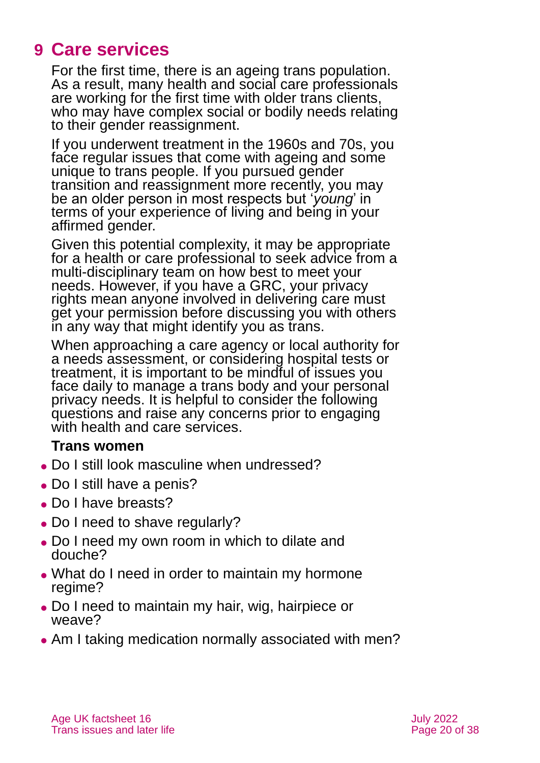### <span id="page-19-0"></span>**9 Care services**

For the first time, there is an ageing trans population. As a result, many health and social care professionals are working for the first time with older trans clients, who may have complex social or bodily needs relating to their gender reassignment.

If you underwent treatment in the 1960s and 70s, you face regular issues that come with ageing and some unique to trans people. If you pursued gender transition and reassignment more recently, you may be an older person in most respects but '*young*' in terms of your experience of living and being in your affirmed gender.

Given this potential complexity, it may be appropriate for a health or care professional to seek advice from a multi-disciplinary team on how best to meet your needs. However, if you have a GRC, your privacy rights mean anyone involved in delivering care must get your permission before discussing you with others in any way that might identify you as trans.

When approaching a care agency or local authority for a needs assessment, or considering hospital tests or treatment, it is important to be mindful of issues you face daily to manage a trans body and your personal privacy needs. It is helpful to consider the following questions and raise any concerns prior to engaging with health and care services.

#### **Trans women**

- Do I still look masculine when undressed?
- Do I still have a penis?
- ⚫ Do I have breasts?
- ⚫ Do I need to shave regularly?
- ⚫ Do I need my own room in which to dilate and douche?
- What do I need in order to maintain my hormone regime?
- ⚫ Do I need to maintain my hair, wig, hairpiece or weave?
- Am I taking medication normally associated with men?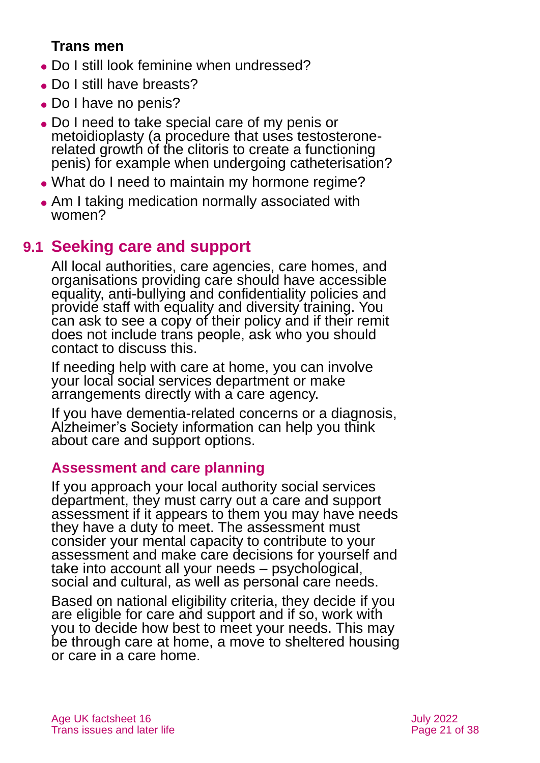#### **Trans men**

- ⚫ Do I still look feminine when undressed?
- ⚫ Do I still have breasts?
- Do I have no penis?
- ⚫ Do I need to take special care of my penis or metoidioplasty (a procedure that uses testosteronerelated growth of the clitoris to create a functioning penis) for example when undergoing catheterisation?
- ⚫ What do I need to maintain my hormone regime?
- ⚫ Am I taking medication normally associated with women?

### **9.1 Seeking care and support**

All local authorities, care agencies, care homes, and organisations providing care should have accessible equality, anti-bullying and confidentiality policies and provide staff with equality and diversity training. You can ask to see a copy of their policy and if their remit does not include trans people, ask who you should contact to discuss this.

If needing help with care at home, you can involve your local social services department or make arrangements directly with a care agency.

If you have dementia-related concerns or a diagnosis, [Alzheimer's Society information can](https://www.alzheimers.org.uk/get-support/daily-living/lgbt-services-support#content-start) help you think [about care and support](https://www.alzheimers.org.uk/get-support/daily-living/lgbt-services-support#content-start) options.

#### **Assessment and care planning**

If you approach your local authority social services department, they must carry out a care and support assessment if it appears to them you may have needs they have a duty to meet. The assessment must consider your mental capacity to contribute to your assessment and make care decisions for yourself and take into account all your needs – psychological, social and cultural, as well as personal care needs.

Based on national eligibility criteria, they decide if you are eligible for care and support and if so, work with you to decide how best to meet your needs. This may be through care at home, a move to sheltered housing or care in a care home.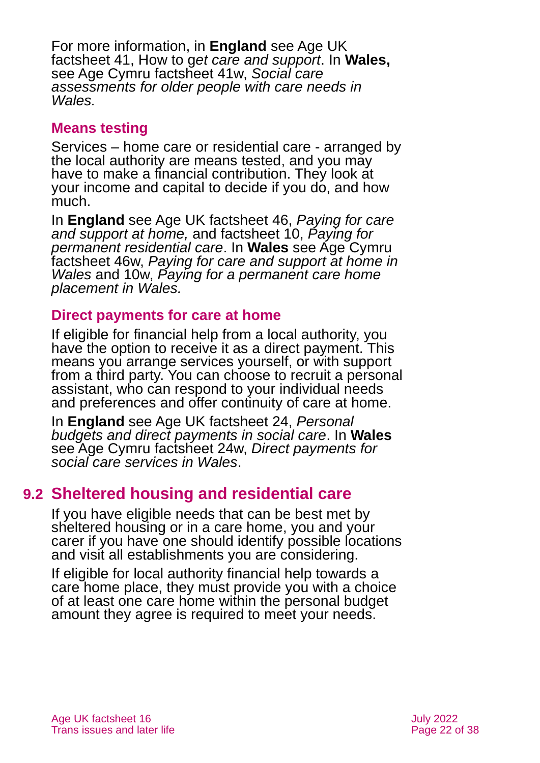For more information, in **England** see Age UK factsheet 41, How to g*[et care and support](https://www.ageuk.org.uk/globalassets/age-uk/documents/factsheets/fs41_how_to_get_care_and_support_fcs.pdf)*. In **Wales,** see Age Cymru [factsheet 41w,](https://www.ageuk.org.uk/globalassets/age-cymru/documents/information-guides-and-factsheets/fs41w.pdf) *Social care [assessments for older people with care needs in](https://www.ageuk.org.uk/globalassets/age-cymru/documents/information-guides-and-factsheets/fs41w.pdf)  [Wales.](https://www.ageuk.org.uk/globalassets/age-cymru/documents/information-guides-and-factsheets/fs41w.pdf)*

#### **Means testing**

Services – home care or residential care - arranged by the local authority are means tested, and you may have to make a financial contribution. They look at your income and capital to decide if you do, and how much.

In **England** see Age UK factsheet 46, *[Paying for care](https://www.ageuk.org.uk/globalassets/age-uk/documents/factsheets/fs46_paying_for_care_and_support_at_home_fcs.pdf?dtrk=true)  [and support at home,](https://www.ageuk.org.uk/globalassets/age-uk/documents/factsheets/fs46_paying_for_care_and_support_at_home_fcs.pdf?dtrk=true)* and [factsheet 10,](https://www.ageuk.org.uk/globalassets/age-uk/documents/factsheets/fs10_paying_for_permanent_residential_care_fcs.pdf) *Paying for [permanent residential care](https://www.ageuk.org.uk/globalassets/age-uk/documents/factsheets/fs10_paying_for_permanent_residential_care_fcs.pdf)*. In **Wales** see Age Cymru factsheet 46w, *[Paying for care and support at home in](https://www.ageuk.org.uk/globalassets/age-cymru/documents/information-guides-and-factsheets/fs46w.pdf)  [Wales](https://www.ageuk.org.uk/globalassets/age-cymru/documents/information-guides-and-factsheets/fs46w.pdf)* and 10w, *[Paying for a permanent care home](https://www.ageuk.org.uk/globalassets/age-cymru/documents/information-guides-and-factsheets/fs10w.pdf)  [placement in Wales.](https://www.ageuk.org.uk/globalassets/age-cymru/documents/information-guides-and-factsheets/fs10w.pdf)*

#### **Direct payments for care at home**

If eligible for financial help from a local authority, you have the option to receive it as a direct payment. This means you arrange services yourself, or with support from a third party. You can choose to recruit a personal assistant, who can respond to your individual needs and preferences and offer continuity of care at home.

In **England** see Age UK factsheet 24, *[Personal](https://www.ageuk.org.uk/globalassets/age-uk/documents/factsheets/fs24_personal_budgets_and_direct_payments_in_social_care_fcs.pdf)  [budgets and direct payments in social care](https://www.ageuk.org.uk/globalassets/age-uk/documents/factsheets/fs24_personal_budgets_and_direct_payments_in_social_care_fcs.pdf)*. In **Wales** see Age Cymru factsheet 24w, *[Direct payments for](https://www.ageuk.org.uk/globalassets/age-cymru/documents/information-guides-and-factsheets/fs24w.pdf)  social [care services in Wales](https://www.ageuk.org.uk/globalassets/age-cymru/documents/information-guides-and-factsheets/fs24w.pdf)*.

### **9.2 Sheltered housing and residential care**

If you have eligible needs that can be best met by sheltered housing or in a care home, you and your carer if you have one should identify possible locations and visit all establishments you are considering.

If eligible for local authority financial help towards a care home place, they must provide you with a choice of at least one care home within the personal budget amount they agree is required to meet your needs.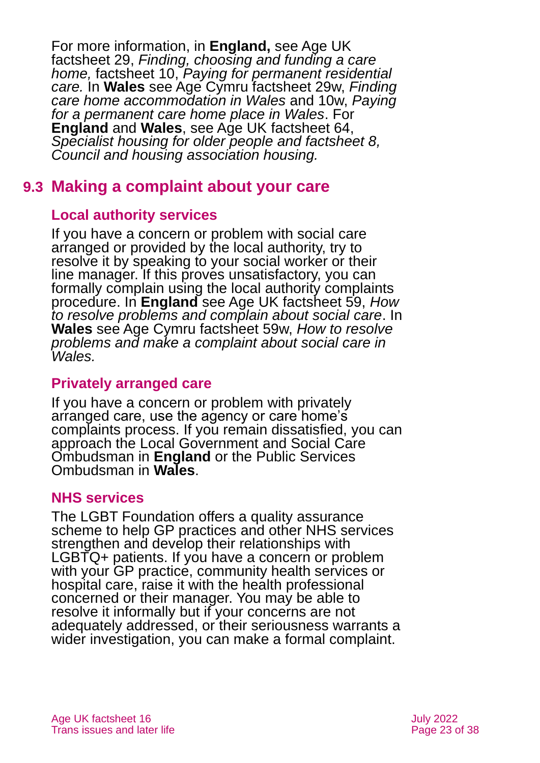For more information, in **England,** see Age UK factsheet 29, *[Finding, choosing and funding a care](https://www.ageuk.org.uk/globalassets/age-uk/documents/factsheets/fs29_finding_choosing_and_funding_a_care_home_fcs.pdf?dtrk=true)  [home,](https://www.ageuk.org.uk/globalassets/age-uk/documents/factsheets/fs29_finding_choosing_and_funding_a_care_home_fcs.pdf?dtrk=true)* factsheet 10, *[Paying for permanent residential](https://www.ageuk.org.uk/globalassets/age-uk/documents/factsheets/fs10_paying_for_permanent_residential_care_fcs.pdf?dtrk=true)  [care.](https://www.ageuk.org.uk/globalassets/age-uk/documents/factsheets/fs10_paying_for_permanent_residential_care_fcs.pdf?dtrk=true)* In **Wales** see Age Cymru factsheet 29w, *[Finding](https://www.ageuk.org.uk/globalassets/age-cymru/documents/information-guides-and-factsheets/fs29w.pdf)  [care home accommodation in Wales](https://www.ageuk.org.uk/globalassets/age-cymru/documents/information-guides-and-factsheets/fs29w.pdf)* and 10w, *[Paying](https://www.ageuk.org.uk/globalassets/age-cymru/documents/information-guides-and-factsheets/fs10w.pdf)  [for a permanent care home place in Wales](https://www.ageuk.org.uk/globalassets/age-cymru/documents/information-guides-and-factsheets/fs10w.pdf)*. For **England** and **Wales**, see Age UK [factsheet 64,](https://www.ageuk.org.uk/globalassets/age-uk/documents/factsheets/fs64_specialist_housing_for_older_people_fcs.pdf)  *[Specialist housing for older people](https://www.ageuk.org.uk/globalassets/age-uk/documents/factsheets/fs64_specialist_housing_for_older_people_fcs.pdf) and factsheet 8, [Council and housing association housing.](https://www.ageuk.org.uk/globalassets/age-uk/documents/factsheets/fs8_council_and_housing_association_housing_fcs.pdf)*

#### **9.3 Making a complaint about your care**

#### **Local authority services**

If you have a concern or problem with social care arranged or provided by the local authority, try to resolve it by speaking to your social worker or their line manager. If this proves unsatisfactory, you can formally complain using the local authority complaints procedure. In **England** see Age UK factsheet 59, *[How](https://www.ageuk.org.uk/globalassets/age-uk/documents/factsheets/fs59_how_to_resolve_problems_and_complain_about_social_care_fcs.pdf)  [to resolve problems and complain about social care](https://www.ageuk.org.uk/globalassets/age-uk/documents/factsheets/fs59_how_to_resolve_problems_and_complain_about_social_care_fcs.pdf)*. In **Wales** see Age Cymru factsheet 59w, *[How to resolve](https://www.ageuk.org.uk/globalassets/age-cymru/documents/information-guides-and-factsheets/fs59w.pdf)  [problems and make a complaint about social care in](https://www.ageuk.org.uk/globalassets/age-cymru/documents/information-guides-and-factsheets/fs59w.pdf)  [Wales.](https://www.ageuk.org.uk/globalassets/age-cymru/documents/information-guides-and-factsheets/fs59w.pdf)*

#### **Privately arranged care**

If you have a concern or problem with privately arranged care, use the agency or care home's complaints process. If you remain dissatisfied, you can approach the [Local Government and Social Care](#page-33-0)  [Ombudsman](#page-33-0) in **England** or the [Public Services](#page-34-0) [Ombudsman](#page-34-0) in **Wales**.

#### **NHS services**

[The LGBT Foundation offers a quality assurance](https://lgbt.foundation/prideinpractice) scheme to help GP practices and other NHS services strengthen and develop their relationships with LGBTQ+ patients. If you have a concern or problem with your GP practice, community health services or hospital care, raise it with the health professional concerned or their manager. You may be able to resolve it informally but if your concerns are not adequately addressed, or their seriousness warrants a wider investigation, you can make a formal complaint.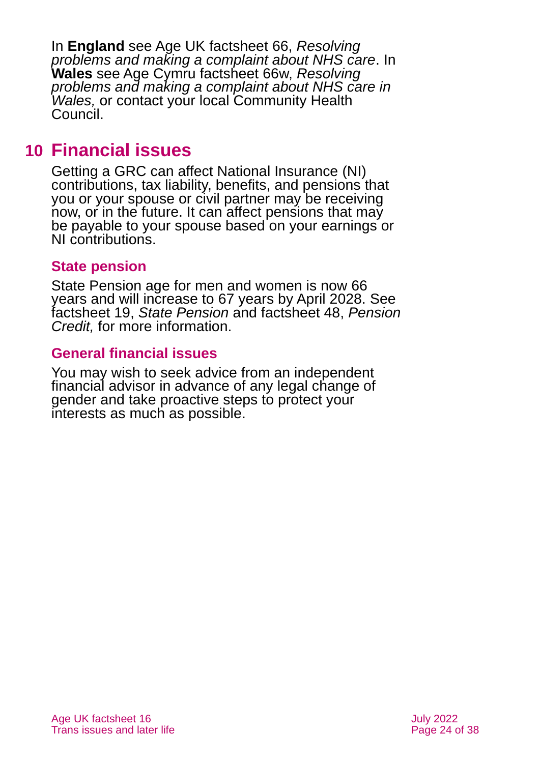In **England** see Age UK factsheet 66, *[Resolving](https://www.ageuk.org.uk/globalassets/age-uk/documents/factsheets/fs66_resolving_problems_and_making_a_complaint_about_nhs_care_fcs.pdf?dtrk=true)  [problems and making a complaint about NHS care](https://www.ageuk.org.uk/globalassets/age-uk/documents/factsheets/fs66_resolving_problems_and_making_a_complaint_about_nhs_care_fcs.pdf?dtrk=true)*. In **Wales** see Age Cymru factsheet 66w, *[Resolving](https://www.ageuk.org.uk/globalassets/age-cymru/documents/information-guides-and-factsheets/fs66w.pdf)  [problems and making a complaint about NHS care in](https://www.ageuk.org.uk/globalassets/age-cymru/documents/information-guides-and-factsheets/fs66w.pdf)  [Wales,](https://www.ageuk.org.uk/globalassets/age-cymru/documents/information-guides-and-factsheets/fs66w.pdf)* or contact your [local Community Health](https://111.wales.nhs.uk/localservices/communityhealthcouncils/)  [Council.](https://111.wales.nhs.uk/localservices/communityhealthcouncils/)

### <span id="page-23-0"></span>**10 Financial issues**

Getting a GRC can affect National Insurance (NI) contributions, tax liability, benefits, and pensions that you or your spouse or civil partner may be receiving now, or in the future. It can affect pensions that may be payable to your spouse based on your earnings or NI contributions.

#### **State pension**

State Pension age for men and women is now 66 years and will increase to 67 years by April 2028. See factsheet 19, *[State Pension](https://www.ageuk.org.uk/globalassets/age-uk/documents/factsheets/fs19_state_pension_fcs.pdf?dtrk=true)* and factsheet 48, *[Pension](https://www.ageuk.org.uk/globalassets/age-uk/documents/factsheets/fs48_pension_credit_fcs.pdf)  [Credit,](https://www.ageuk.org.uk/globalassets/age-uk/documents/factsheets/fs48_pension_credit_fcs.pdf)* for more information.

#### **General financial issues**

You may wish to seek advice from an independent financial advisor in advance of any legal change of gender and take proactive steps to protect your interests as much as possible.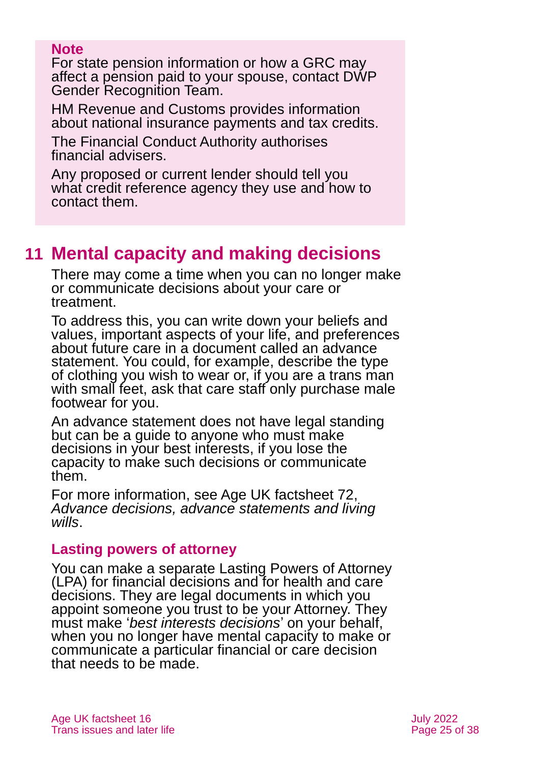#### **Note**

For state pension information or how a GRC may affect a pension paid to your spouse, contact DWP Gender Recognition Team.

HM Revenue and Customs provides information about national insurance payments and tax credits.

The Financial Conduct Authority authorises financial advisers.

Any proposed or current lender should tell you what credit reference agency they use and how to contact them.

### <span id="page-24-0"></span>**11 Mental capacity and making decisions**

There may come a time when you can no longer make or communicate decisions about your care or treatment.

To address this, you can write down your beliefs and values, important aspects of your life, and preferences about future care in a document called an advance statement. You could, for example, describe the type of clothing you wish to wear or, if you are a trans man with small feet, ask that care staff only purchase male footwear for you.

An advance statement does not have legal standing but can be a guide to anyone who must make decisions in your best interests, if you lose the capacity to make such decisions or communicate them.

For more information, see Age UK factsheet 72, *[Advance decisions, advance statements and living](https://www.ageuk.org.uk/globalassets/age-uk/documents/factsheets/fs72_advance_decisions_advance_statements_and_living_wills_fcs.pdf)  [wills](https://www.ageuk.org.uk/globalassets/age-uk/documents/factsheets/fs72_advance_decisions_advance_statements_and_living_wills_fcs.pdf)*.

#### **Lasting powers of attorney**

You can make a separate Lasting Powers of Attorney (LPA) for financial decisions and for health and care decisions. They are legal documents in which you appoint someone you trust to be your Attorney. They must make '*best interests decisions*' on your behalf, when you no longer have mental capacity to make or communicate a particular financial or care decision that needs to be made.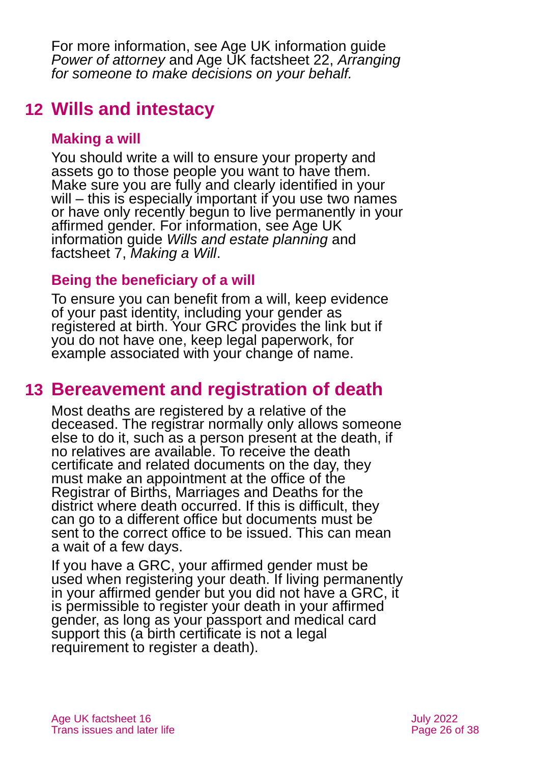For more information, see Age UK information guide *[Power of attorney](https://www.ageuk.org.uk/globalassets/age-uk/documents/information-guides/ageukig21_powers_of_attorney_inf.pdf?dtrk=true)* and Age UK factsheet 22, *[Arranging](https://www.ageuk.org.uk/globalassets/age-uk/documents/factsheets/fs22_arranging_for_someone_to_make_decisions_on_your_behalf_fcs.pdf?dtrk=true)  [for someone to make decisions on your behalf.](https://www.ageuk.org.uk/globalassets/age-uk/documents/factsheets/fs22_arranging_for_someone_to_make_decisions_on_your_behalf_fcs.pdf?dtrk=true)*

### <span id="page-25-0"></span>**12 Wills and intestacy**

#### **Making a will**

You should write a will to ensure your property and assets go to those people you want to have them. Make sure you are fully and clearly identified in your will – this is especially important if you use two names or have only recently begun to live permanently in your affirmed gender. For information, see Age UK information guide *[Wills and estate planning](https://www.ageuk.org.uk/globalassets/age-uk/documents/information-guides/ageukig31_wills_and_estate_planning_inf.pdf)* and factsheet 7, *[Making a Will](https://www.ageuk.org.uk/globalassets/age-uk/documents/factsheets/fs7_making_a_will_fcs.pdf)*.

#### **Being the beneficiary of a will**

To ensure you can benefit from a will, keep evidence of your past identity, including your gender as registered at birth. Your GRC provides the link but if you do not have one, keep legal paperwork, for example associated with your change of name.

### <span id="page-25-1"></span>**13 Bereavement and registration of death**

Most deaths are registered by a relative of the deceased. The registrar normally only allows someone else to do it, such as a person present at the death, if no relatives are available. To receive the death certificate and related documents on the day, they must make an appointment at the office of the Registrar of Births, Marriages and Deaths for the district where death occurred. If this is difficult, they can go to a different office but documents must be sent to the correct office to be issued. This can mean a wait of a few days.

If you have a GRC, your affirmed gender must be used when registering your death. If living permanently in your affirmed gender but you did not have a GRC, it is permissible to register your death in your affirmed gender, as long as your passport and medical card support this (a birth certificate is not a legal requirement to register a death).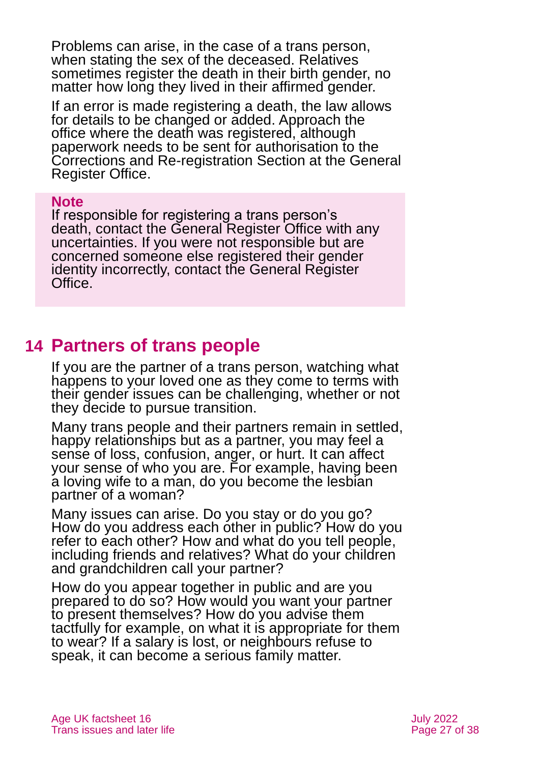Problems can arise, in the case of a trans person, when stating the sex of the deceased. Relatives sometimes register the death in their birth gender, no matter how long they lived in their affirmed gender.

If an error is made registering a death, the law allows for details to be changed or added. Approach the office where the death was registered, although paperwork needs to be sent for authorisation to the Corrections and Re-registration Section at the General Register Office.

#### **Note**

If responsible for registering a trans person's death, contact the General Register Office with any uncertainties. If you were not responsible but are concerned someone else registered their gender identity incorrectly, contact the General Register Office.

### <span id="page-26-0"></span>**14 Partners of trans people**

If you are the partner of a trans person, watching what happens to your loved one as they come to terms with their gender issues can be challenging, whether or not they decide to pursue transition.

Many trans people and their partners remain in settled, happy relationships but as a partner, you may feel a sense of loss, confusion, anger, or hurt. It can affect your sense of who you are. For example, having been a loving wife to a man, do you become the lesbian partner of a woman?

Many issues can arise. Do you stay or do you go? How do you address each other in public? How do you refer to each other? How and what do you tell people, including friends and relatives? What do your children and grandchildren call your partner?

How do you appear together in public and are you prepared to do so? How would you want your partner to present themselves? How do you advise them tactfully for example, on what it is appropriate for them to wear? If a salary is lost, or neighbours refuse to speak, it can become a serious family matter.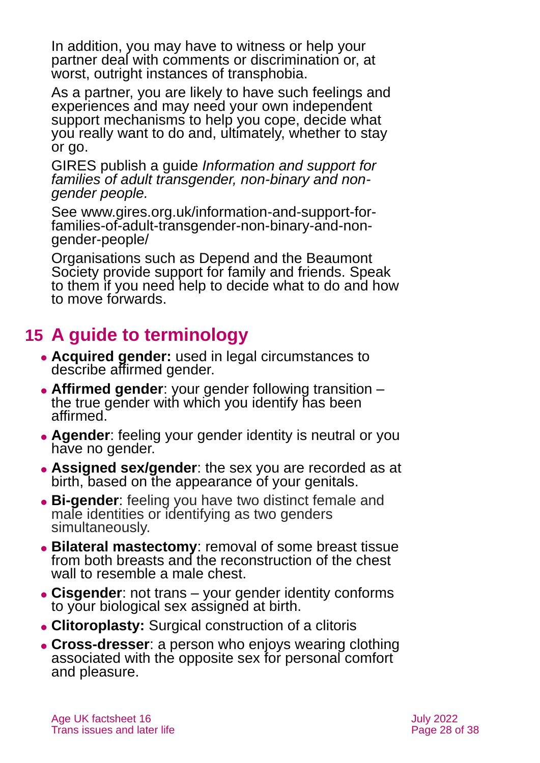In addition, you may have to witness or help your partner deal with comments or discrimination or, at worst, outright instances of transphobia.

As a partner, you are likely to have such feelings and experiences and may need your own independent support mechanisms to help you cope, decide what you really want to do and, ultimately, whether to stay or go.

GIRES publish a guide *[Information and support for](https://www.gires.org.uk/support/information-and-support-for-families-of-adult-transgender-non-binary-and-non-gender-people)  [families of adult transgender, non-binary and non](https://www.gires.org.uk/support/information-and-support-for-families-of-adult-transgender-non-binary-and-non-gender-people)[gender people.](https://www.gires.org.uk/support/information-and-support-for-families-of-adult-transgender-non-binary-and-non-gender-people)*

See [www.gires.org.uk/information-and-support-for](http://www.gires.org.uk/information-and-support-for-families-of-adult-transgender-non-binary-and-non-gender-people/)[families-of-adult-transgender-non-binary-and-non](http://www.gires.org.uk/information-and-support-for-families-of-adult-transgender-non-binary-and-non-gender-people/)[gender-people/](http://www.gires.org.uk/information-and-support-for-families-of-adult-transgender-non-binary-and-non-gender-people/)

Organisations such as [Depend](http://www.depend.org.uk/) and the [Beaumont](http://www.beaumontsociety.org.uk/)  [Society](http://www.beaumontsociety.org.uk/) provide support for family and friends. Speak to them if you need help to decide what to do and how to move forwards.

## <span id="page-27-0"></span>**15 A guide to terminology**

- ⚫ **Acquired gender:** used in legal circumstances to describe affirmed gender.
- ⚫ **Affirmed gender**: your gender following transition the true gender with which you identify has been affirmed.
- ⚫ **Agender**: feeling your gender identity is neutral or you have no gender.
- ⚫ **Assigned sex/gender**: the sex you are recorded as at birth, based on the appearance of your genitals.
- ⚫ **Bi-gender**: feeling you have two distinct female and male identities or identifying as two genders simultaneously.
- ⚫ **Bilateral mastectomy**: removal of some breast tissue from both breasts and the reconstruction of the chest wall to resemble a male chest.
- ⚫ **Cisgender**: not trans your gender identity conforms to your biological sex assigned at birth.
- ⚫ **Clitoroplasty:** Surgical construction of a clitoris
- ⚫ **Cross-dresser**: a person who enjoys wearing clothing associated with the opposite sex for personal comfort and pleasure.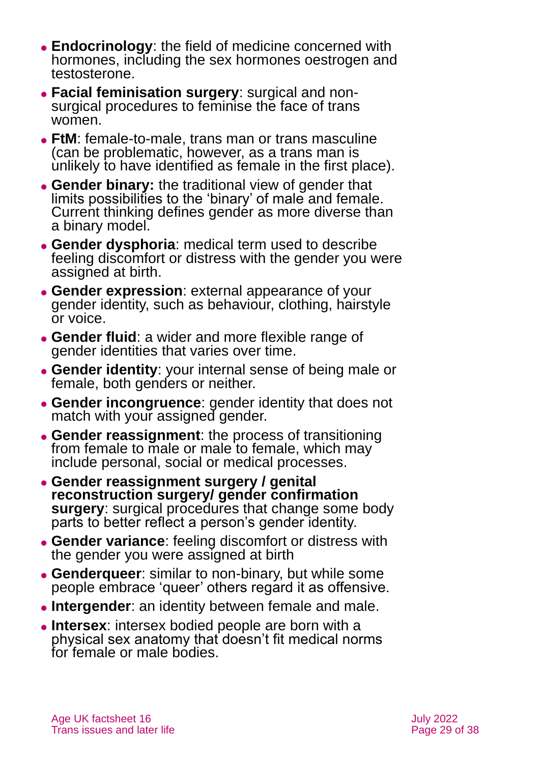- ⚫ **Endocrinology**: the field of medicine concerned with hormones, including the sex hormones oestrogen and testosterone.
- ⚫ **Facial feminisation surgery**: surgical and nonsurgical procedures to feminise the face of trans women.
- ⚫ **FtM**: female-to-male, trans man or trans masculine (can be problematic, however, as a trans man is unlikely to have identified as female in the first place).
- ⚫ **Gender binary:** the traditional view of gender that limits possibilities to the 'binary' of male and female. Current thinking defines gender as more diverse than a binary model.
- ⚫ **Gender dysphoria**: medical term used to describe feeling discomfort or distress with the gender you were assigned at birth.
- ⚫ **Gender expression**: external appearance of your gender identity, such as behaviour, clothing, hairstyle or voice.
- ⚫ **Gender fluid**: a wider and more flexible range of gender identities that varies over time.
- ⚫ **Gender identity**: your internal sense of being male or female, both genders or neither.
- ⚫ **Gender incongruence**: gender identity that does not match with your assigned gender.
- ⚫ **Gender reassignment**: the process of transitioning from female to male or male to female, which may include personal, social or medical processes.
- ⚫ **Gender reassignment surgery / genital reconstruction surgery/ gender confirmation surgery**: surgical procedures that change some body parts to better reflect a person's gender identity.
- ⚫ **Gender variance**: feeling discomfort or distress with the gender you were assigned at birth
- ⚫ **Genderqueer**: similar to non-binary, but while some people embrace 'queer' others regard it as offensive.
- ⚫ **Intergender**: an identity between female and male.
- ⚫ **Intersex**: intersex bodied people are born with a physical sex anatomy that doesn't fit medical norms for female or male bodies.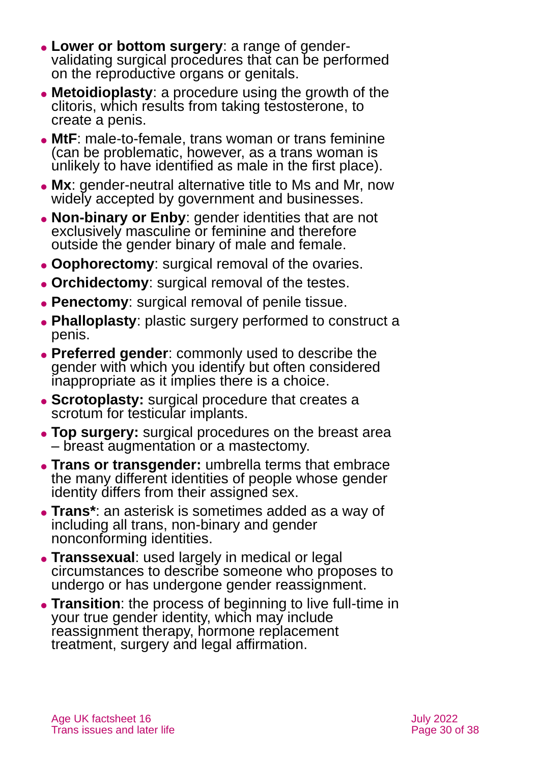- ⚫ **Lower or bottom surgery**: a range of gendervalidating surgical procedures that can be performed on the reproductive organs or genitals.
- ⚫ **Metoidioplasty**: a procedure using the growth of the clitoris, which results from taking testosterone, to create a penis.
- ⚫ **MtF**: male-to-female, trans woman or trans feminine (can be problematic, however, as a trans woman is unlikely to have identified as male in the first place).
- ⚫ **Mx**: gender-neutral alternative title to Ms and Mr, now widely accepted by government and businesses.
- ⚫ **Non-binary or Enby**: gender identities that are not exclusively masculine or feminine and therefore outside the gender binary of male and female.
- ⚫ **Oophorectomy**: surgical removal of the ovaries.
- ⚫ **Orchidectomy**: surgical removal of the testes.
- ⚫ **Penectomy**: surgical removal of penile tissue.
- ⚫ **Phalloplasty**: plastic surgery performed to construct a penis.
- ⚫ **Preferred gender**: commonly used to describe the gender with which you identify but often considered inappropriate as it implies there is a choice.
- ⚫ **Scrotoplasty:** surgical procedure that creates a scrotum for testicular implants.
- ⚫ **Top surgery:** surgical procedures on the breast area – breast augmentation or a mastectomy.
- ⚫ **Trans or transgender:** umbrella terms that embrace the many different identities of people whose gender identity differs from their assigned sex.
- ⚫ **Trans\***: an asterisk is sometimes added as a way of including all trans, non-binary and gender nonconforming identities.
- ⚫ **Transsexual**: used largely in medical or legal circumstances to describe someone who proposes to undergo or has undergone gender reassignment.
- ⚫ **Transition**: the process of beginning to live full-time in your true gender identity, which may include reassignment therapy, hormone replacement treatment, surgery and legal affirmation.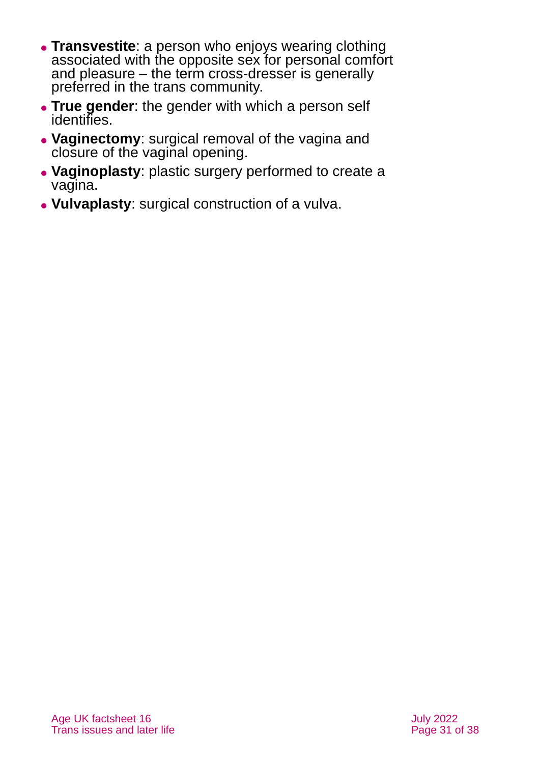- ⚫ **Transvestite**: a person who enjoys wearing clothing associated with the opposite sex for personal comfort and pleasure – the term cross-dresser is generally preferred in the trans community.
- ⚫ **True gender**: the gender with which a person self identifies.
- ⚫ **Vaginectomy**: surgical removal of the vagina and closure of the vaginal opening.
- ⚫ **Vaginoplasty**: plastic surgery performed to create a vagina.
- ⚫ **Vulvaplasty**: surgical construction of a vulva.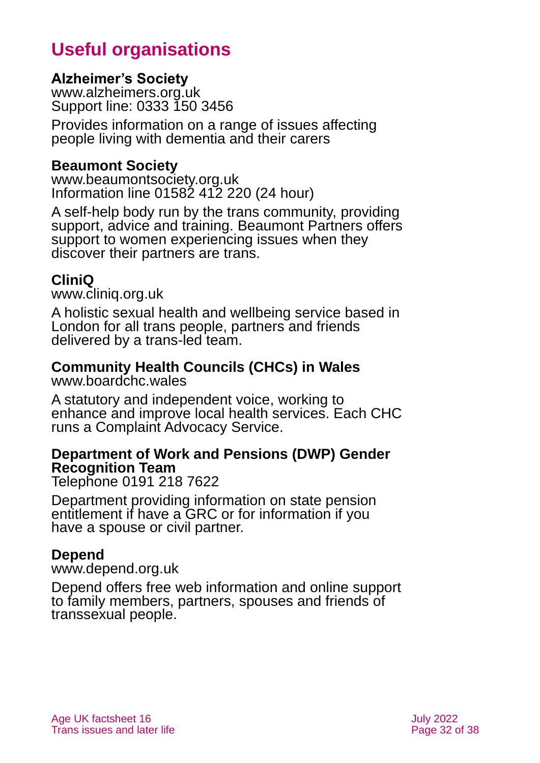# **Useful organisations**

#### <span id="page-31-0"></span>**Alzheimer's Society**

[www.alzheimers.org.uk](http://www.alzheimers.org.uk/) Support line: 0333 150 3456

Provides information on a range of issues affecting people living with dementia and their carers

#### **Beaumont Society**

[www.beaumontsociety.org.uk](http://www.beaumontsociety.org.uk/) Information line 01582 412 220 (24 hour)

A self-help body run by the trans community, providing support, advice and training. Beaumont Partners offers support to women experiencing issues when they discover their partners are trans.

#### **CliniQ**

[www.cliniq.org.uk](http://www.cliniq.org.uk/)

A holistic sexual health and wellbeing service based in London for all trans people, partners and friends delivered by a trans-led team.

#### **Community Health Councils (CHCs) in Wales**

[www.boardchc.wales](https://boardchc.nhs.wales/)

A statutory and independent voice, working to enhance and improve local health services. Each CHC runs a Complaint Advocacy Service.

#### **Department of Work and Pensions (DWP) Gender Recognition Team**

Telephone 0191 218 7622

Department providing information on state pension entitlement if have a GRC or for information if you have a spouse or civil partner.

#### **Depend**

[www.depend.org.uk](http://www.depend.org.uk/)

Depend offers free web information and online support to family members, partners, spouses and friends of transsexual people.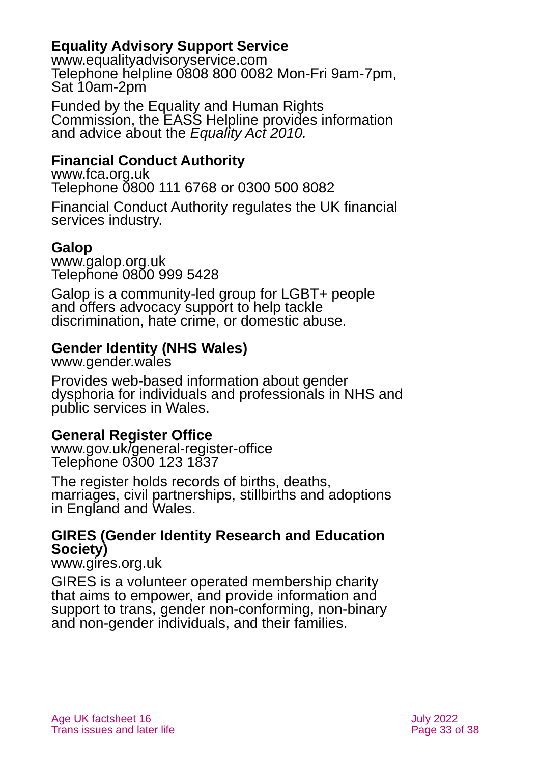#### **Equality Advisory Support Service**

[www.equalityadvisoryservice.com](http://www.equalityadvisoryservice.com/) Telephone helpline 0808 800 0082 Mon-Fri 9am-7pm, Sat 10am-2pm

Funded by the Equality and Human Rights Commission, the EASS Helpline provides information and advice about the *Equality Act 2010.*

#### **Financial Conduct Authority**

[www.fca.org.uk](http://www.fca.org.uk/) Telephone 0800 111 6768 or 0300 500 8082

Financial Conduct Authority regulates the UK financial services industry.

#### **Galop**

[www.galop.org.uk](http://www.galop.org.uk/) Telephone 0800 999 5428

Galop is a community-led group for LGBT+ people and offers advocacy support to help tackle discrimination, hate crime, or domestic abuse.

#### **Gender Identity (NHS Wales)**

[www.gender.wales](http://www.gender.wales/)

Provides web-based information about gender dysphoria for individuals and professionals in NHS and public services in Wales.

#### **General Register Office**

[www.gov.uk/general-register-office](http://www.gov.uk/general-register-office) Telephone 0300 123 1837

The register holds records of births, deaths, marriages, civil partnerships, stillbirths and adoptions in England and Wales.

#### **GIRES (Gender Identity Research and Education Society)**

[www.gires.org.uk](http://www.gires.org.uk/)

GIRES is a volunteer operated membership charity that aims to empower, and provide information and support to trans, gender non-conforming, non-binary and non-gender individuals, and their families.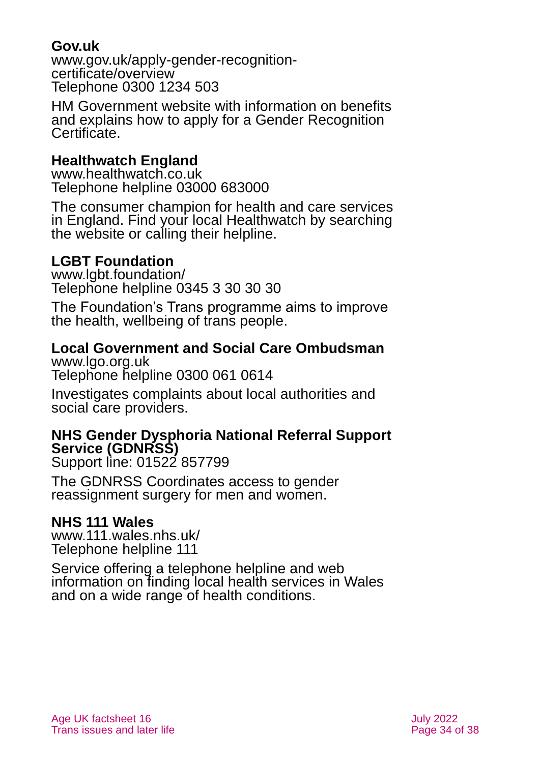#### **Gov.uk**

[www.gov.uk/apply-gender-recognition](http://www.gov.uk/apply-gender-recognition-certificate/overview)[certificate/overview](http://www.gov.uk/apply-gender-recognition-certificate/overview) Telephone 0300 1234 503

HM Government website with information on benefits and explains how to apply for a Gender Recognition Certificate.

#### **Healthwatch England**

[www.healthwatch.co.uk](http://www.healthwatch.co.uk/) Telephone helpline 03000 683000

The consumer champion for health and care services in England. Find your local Healthwatch by searching the website or calling their helpline.

#### **LGBT Foundation**

[www.lgbt.foundation/](http://www.lgbt.foundation/) Telephone helpline 0345 3 30 30 30

The Foundation's Trans programme aims to improve the health, wellbeing of trans people.

#### <span id="page-33-0"></span>**Local Government and Social Care Ombudsman** [www.lgo.org.uk](http://www.lgo.org.uk/)

Telephone helpline 0300 061 0614

Investigates complaints about local authorities and social care providers.

#### **NHS Gender Dysphoria National Referral Support Service (GDNRSS)**

Support line: 01522 857799

The GDNRSS Coordinates access to gender reassignment surgery for men and women.

#### **NHS 111 Wales**

[www.111.wales.nhs.uk/](http://www.111.wales.nhs.uk/) Telephone helpline 111

Service offering a telephone helpline and web information on finding local health services in Wales and on a wide range of health conditions.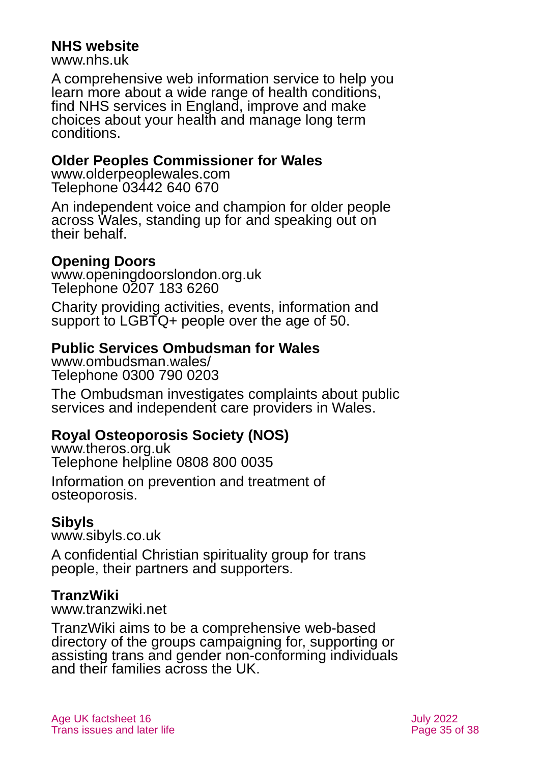#### **NHS website**

[www.nhs.uk](http://www.nhs.uk/)

A comprehensive web information service to help you learn more about a wide range of health conditions, find NHS services in England, improve and make choices about your health and manage long term conditions.

#### **Older Peoples Commissioner for Wales**

[www.olderpeoplewales.com](http://www.olderpeoplewales.com/en/home.aspx) Telephone 03442 640 670

An independent voice and champion for older people across Wales, standing up for and speaking out on their behalf.

#### **Opening Doors**

[www.openingdoorslondon.org.uk](https://www.openingdoorslondon.org.uk/) Telephone 0207 183 6260

<span id="page-34-0"></span>Charity providing activities, events, information and support to LGBTQ+ people over the age of 50.

#### **Public Services Ombudsman for Wales**

[www.ombudsman.wales/](http://www.ombudsman.wales/) Telephone 0300 790 0203

The Ombudsman investigates complaints about public services and independent care providers in Wales.

#### **Royal Osteoporosis Society (NOS)**

[www.theros.org.uk](http://www.theros.org.uk/) Telephone helpline [0808](tel:0808) 800 0035

Information on prevention and treatment of osteoporosis.

#### **Sibyls**

[www.sibyls.co.uk](http://www.sibyls.co.uk/)

A confidential Christian spirituality group for trans people, their partners and supporters.

#### **TranzWiki**

[www.tranzwiki.net](http://www.tranzwiki.net/)

TranzWiki aims to be a comprehensive web-based directory of the groups campaigning for, supporting or assisting trans and gender non-conforming individuals and their families across the UK.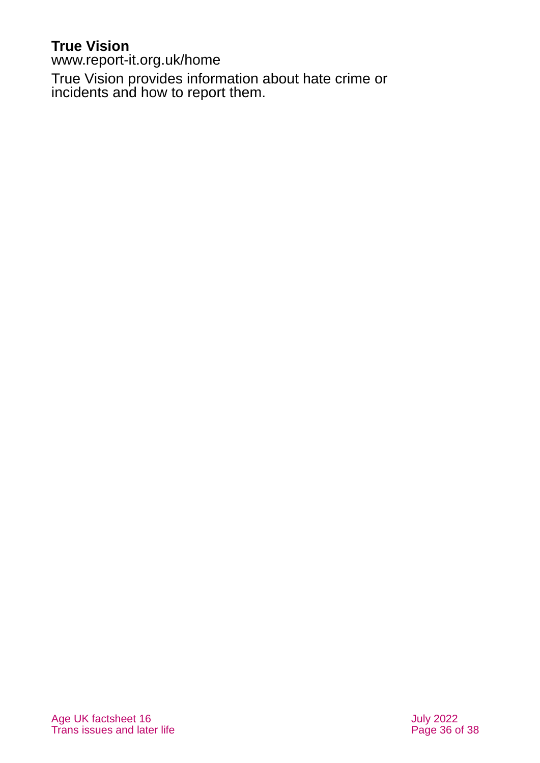#### **True Vision**

[www.report-it.org.uk/home](http://www.report-it.org.uk/home)

True Vision provides information about hate crime or incidents and how to report them.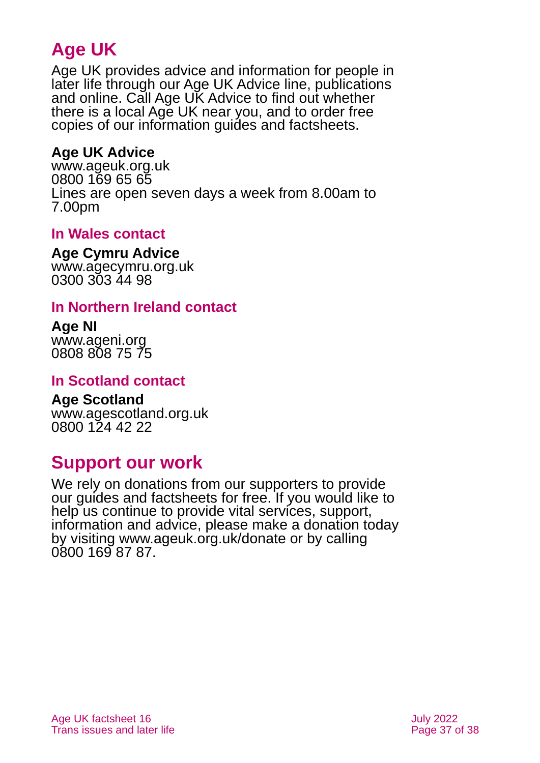# **Age UK**

Age UK provides advice and information for people in later life through our Age UK Advice line, publications and online. Call Age UK Advice to find out whether there is a local Age UK near you, and to order free copies of our information guides and factsheets.

#### <span id="page-36-1"></span>**Age UK Advice**

[www.ageuk.org.uk](http://www.ageuk.org.uk/) 0800 169 65 65 Lines are open seven days a week from 8.00am to 7.00pm

#### **In Wales contact**

#### **Age Cymru Advice**

[www.agecymru.org.uk](http://www.agecymru.org.uk/) 0300 303 44 98

#### <span id="page-36-0"></span>**In Northern Ireland contact**

#### **Age NI** [www.ageni.org](http://www.ageni.org/)

0808 808 75 75

#### **In Scotland contact**

#### <span id="page-36-2"></span>**Age Scotland** [www.agescotland.org.uk](http://www.agescotland.org.uk/)

0800 124 42 22

### **Support our work**

We rely on donations from our supporters to provide our guides and factsheets for free. If you would like to help us continue to provide vital services, support, information and advice, please make a donation today by visiting [www.ageuk.org.uk/donate](http://www.ageuk.org.uk/donate) or by calling 0800 169 87 87.